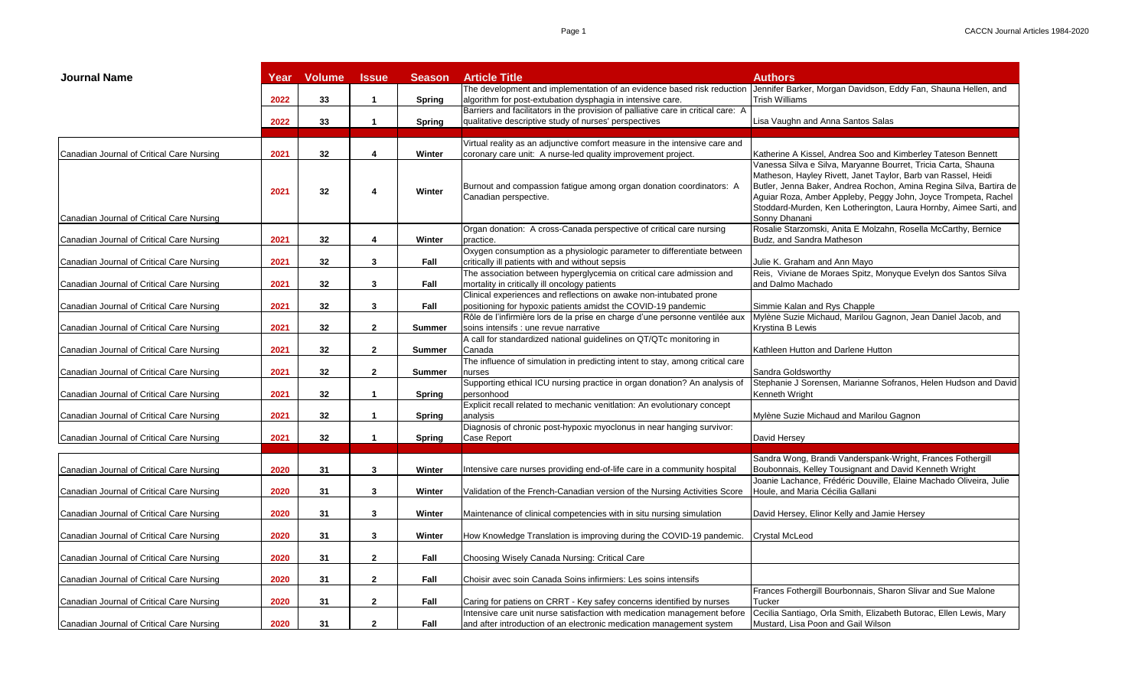| <b>Journal Name</b>                       | Year | <b>Volume</b>   | <b>Issue</b> | <b>Season</b> | <b>Article Title</b>                                                                                                                             | Authors                                                                                                                                                                                                                                                                                                                                                      |
|-------------------------------------------|------|-----------------|--------------|---------------|--------------------------------------------------------------------------------------------------------------------------------------------------|--------------------------------------------------------------------------------------------------------------------------------------------------------------------------------------------------------------------------------------------------------------------------------------------------------------------------------------------------------------|
|                                           | 2022 | 33              | $\mathbf{1}$ | Spring        | The development and implementation of an evidence based risk reduction<br>algorithm for post-extubation dysphagia in intensive care.             | Jennifer Barker, Morgan Davidson, Eddy Fan, Shauna Hellen, and<br><b>Trish Williams</b>                                                                                                                                                                                                                                                                      |
|                                           |      |                 |              |               | Barriers and facilitators in the provision of palliative care in critical care: A                                                                |                                                                                                                                                                                                                                                                                                                                                              |
|                                           | 2022 | 33              | $\mathbf{1}$ | <b>Spring</b> | qualitative descriptive study of nurses' perspectives                                                                                            | Lisa Vaughn and Anna Santos Salas                                                                                                                                                                                                                                                                                                                            |
|                                           |      |                 |              |               | Virtual reality as an adjunctive comfort measure in the intensive care and                                                                       |                                                                                                                                                                                                                                                                                                                                                              |
| Canadian Journal of Critical Care Nursing | 2021 | 32 <sub>2</sub> | 4            | Winter        | coronary care unit: A nurse-led quality improvement project.                                                                                     | Katherine A Kissel, Andrea Soo and Kimberley Tateson Bennett                                                                                                                                                                                                                                                                                                 |
| Canadian Journal of Critical Care Nursing | 2021 | 32              | 4            | Winter        | Burnout and compassion fatigue among organ donation coordinators: A<br>Canadian perspective.                                                     | Vanessa Silva e Silva, Maryanne Bourret, Tricia Carta, Shauna<br>Matheson, Hayley Rivett, Janet Taylor, Barb van Rassel, Heidi<br>Butler, Jenna Baker, Andrea Rochon, Amina Regina Silva, Bartira de<br>Aguiar Roza, Amber Appleby, Peggy John, Joyce Trompeta, Rachel<br>Stoddard-Murden, Ken Lotherington, Laura Hornby, Aimee Sarti, and<br>Sonny Dhanani |
| Canadian Journal of Critical Care Nursing | 2021 | 32              | 4            | Winter        | Organ donation: A cross-Canada perspective of critical care nursing<br>practice.                                                                 | Rosalie Starzomski, Anita E Molzahn, Rosella McCarthy, Bernice<br>Budz, and Sandra Matheson                                                                                                                                                                                                                                                                  |
|                                           |      |                 |              |               | Oxygen consumption as a physiologic parameter to differentiate between                                                                           |                                                                                                                                                                                                                                                                                                                                                              |
| Canadian Journal of Critical Care Nursing | 2021 | 32              | 3            | Fall          | critically ill patients with and without sepsis                                                                                                  | Julie K. Graham and Ann Mayo                                                                                                                                                                                                                                                                                                                                 |
| Canadian Journal of Critical Care Nursing | 2021 | 32              | 3            | Fall          | The association between hyperglycemia on critical care admission and<br>mortality in critically ill oncology patients                            | Reis, Viviane de Moraes Spitz, Monyque Evelyn dos Santos Silva<br>and Dalmo Machado                                                                                                                                                                                                                                                                          |
|                                           |      |                 |              |               | Clinical experiences and reflections on awake non-intubated prone                                                                                |                                                                                                                                                                                                                                                                                                                                                              |
| Canadian Journal of Critical Care Nursing | 2021 | 32              | 3            | Fall          | positioning for hypoxic patients amidst the COVID-19 pandemic                                                                                    | Simmie Kalan and Rys Chapple                                                                                                                                                                                                                                                                                                                                 |
|                                           |      |                 |              |               | Rôle de l'infirmière lors de la prise en charge d'une personne ventilée aux                                                                      | Mylène Suzie Michaud, Marilou Gagnon, Jean Daniel Jacob, and                                                                                                                                                                                                                                                                                                 |
| Canadian Journal of Critical Care Nursing | 2021 | 32              | $\mathbf{2}$ | Summer        | soins intensifs : une revue narrative                                                                                                            | <b>Krystina B Lewis</b>                                                                                                                                                                                                                                                                                                                                      |
|                                           |      |                 |              |               | A call for standardized national guidelines on QT/QTc monitoring in                                                                              |                                                                                                                                                                                                                                                                                                                                                              |
| Canadian Journal of Critical Care Nursing | 2021 | 32              | $\mathbf{2}$ | <b>Summer</b> | Canada                                                                                                                                           | Kathleen Hutton and Darlene Hutton                                                                                                                                                                                                                                                                                                                           |
|                                           |      |                 |              |               | The influence of simulation in predicting intent to stay, among critical care                                                                    |                                                                                                                                                                                                                                                                                                                                                              |
| Canadian Journal of Critical Care Nursing | 2021 | 32              | $\mathbf{2}$ | <b>Summer</b> | nurses                                                                                                                                           | Sandra Goldsworthy                                                                                                                                                                                                                                                                                                                                           |
| Canadian Journal of Critical Care Nursing | 2021 | 32              | $\mathbf{1}$ | Spring        | Supporting ethical ICU nursing practice in organ donation? An analysis of<br>personhood                                                          | Stephanie J Sorensen, Marianne Sofranos, Helen Hudson and David<br>Kenneth Wright                                                                                                                                                                                                                                                                            |
|                                           |      |                 |              |               | Explicit recall related to mechanic venitlation: An evolutionary concept                                                                         |                                                                                                                                                                                                                                                                                                                                                              |
| Canadian Journal of Critical Care Nursing | 2021 | 32              | 1            | Spring        | analysis                                                                                                                                         | Mylène Suzie Michaud and Marilou Gagnon                                                                                                                                                                                                                                                                                                                      |
| Canadian Journal of Critical Care Nursing | 2021 | 32              | $\mathbf{1}$ | <b>Spring</b> | Diagnosis of chronic post-hypoxic myoclonus in near hanging survivor:<br>Case Report                                                             | David Hersey                                                                                                                                                                                                                                                                                                                                                 |
|                                           |      |                 |              |               |                                                                                                                                                  |                                                                                                                                                                                                                                                                                                                                                              |
|                                           |      |                 |              |               |                                                                                                                                                  | Sandra Wong, Brandi Vanderspank-Wright, Frances Fothergill                                                                                                                                                                                                                                                                                                   |
| Canadian Journal of Critical Care Nursing | 2020 | 31              | 3            | Winter        | Intensive care nurses providing end-of-life care in a community hospital                                                                         | Boubonnais, Kelley Tousignant and David Kenneth Wright                                                                                                                                                                                                                                                                                                       |
|                                           |      |                 |              |               |                                                                                                                                                  | Joanie Lachance, Frédéric Douville, Elaine Machado Oliveira, Julie                                                                                                                                                                                                                                                                                           |
| Canadian Journal of Critical Care Nursing | 2020 | 31              | 3            | Winter        | Validation of the French-Canadian version of the Nursing Activities Score                                                                        | Houle, and Maria Cécilia Gallani                                                                                                                                                                                                                                                                                                                             |
|                                           |      |                 |              |               |                                                                                                                                                  |                                                                                                                                                                                                                                                                                                                                                              |
| Canadian Journal of Critical Care Nursing | 2020 | 31              | 3            | Winter        | Maintenance of clinical competencies with in situ nursing simulation                                                                             | David Hersey, Elinor Kelly and Jamie Hersey                                                                                                                                                                                                                                                                                                                  |
| Canadian Journal of Critical Care Nursing | 2020 | 31              | 3            | Winter        | How Knowledge Translation is improving during the COVID-19 pandemic. Crystal McLeod                                                              |                                                                                                                                                                                                                                                                                                                                                              |
| Canadian Journal of Critical Care Nursing | 2020 | 31              | $\mathbf{2}$ | Fall          | Choosing Wisely Canada Nursing: Critical Care                                                                                                    |                                                                                                                                                                                                                                                                                                                                                              |
| Canadian Journal of Critical Care Nursing | 2020 | 31              | $\mathbf{2}$ | Fall          | Choisir avec soin Canada Soins infirmiers: Les soins intensifs                                                                                   |                                                                                                                                                                                                                                                                                                                                                              |
|                                           |      |                 |              |               |                                                                                                                                                  | Frances Fothergill Bourbonnais, Sharon Slivar and Sue Malone                                                                                                                                                                                                                                                                                                 |
| Canadian Journal of Critical Care Nursing | 2020 | 31              | $\mathbf{2}$ | Fall          | Caring for patiens on CRRT - Key safey concerns identified by nurses                                                                             | Tucker                                                                                                                                                                                                                                                                                                                                                       |
| Canadian Journal of Critical Care Nursing | 2020 | 31              | $\mathbf{2}$ | Fall          | Intensive care unit nurse satisfaction with medication management before<br>and after introduction of an electronic medication management system | Cecilia Santiago, Orla Smith, Elizabeth Butorac, Ellen Lewis, Mary<br>Mustard, Lisa Poon and Gail Wilson                                                                                                                                                                                                                                                     |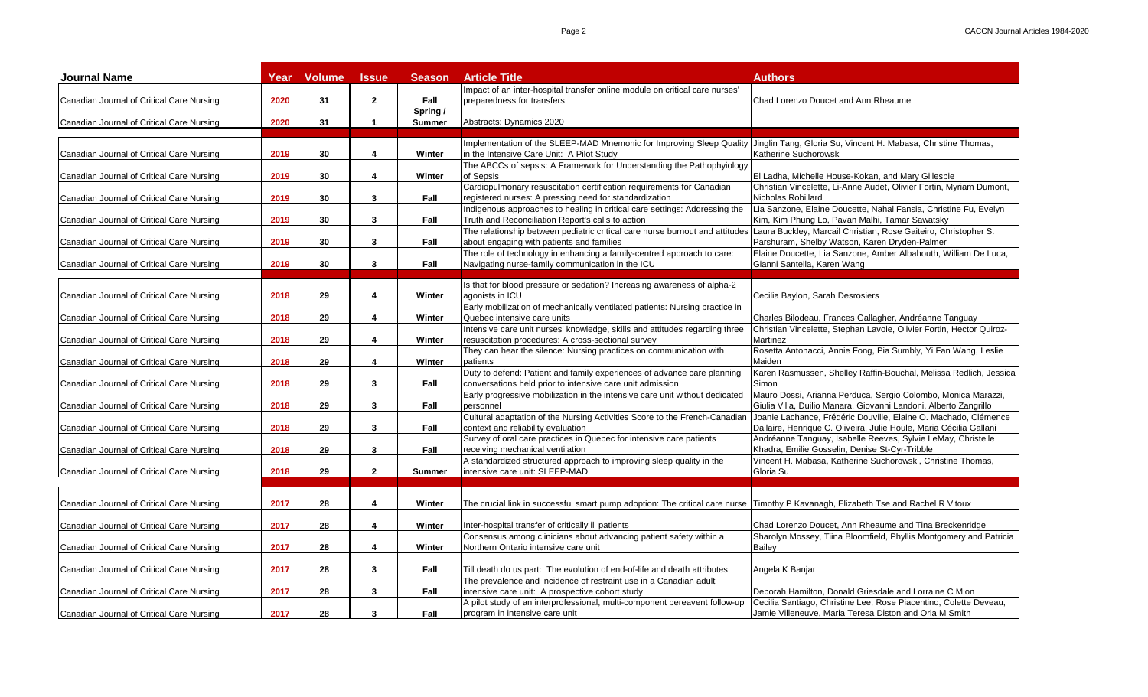| Impact of an inter-hospital transfer online module on critical care nurses<br>2020<br>31<br>$\mathbf{2}$<br>Fall<br>preparedness for transfers<br>Chad Lorenzo Doucet and Ann Rheaume<br>Canadian Journal of Critical Care Nursing<br>Spring /<br>2020<br>31<br>$\mathbf{1}$<br><b>Summer</b><br>Abstracts: Dynamics 2020<br>Implementation of the SLEEP-MAD Mnemonic for Improving Sleep Quality<br>Jinglin Tang, Gloria Su, Vincent H. Mabasa, Christine Thomas,<br>2019<br>30<br>Winter<br>in the Intensive Care Unit: A Pilot Study<br>Katherine Suchorowski<br>4<br>The ABCCs of sepsis: A Framework for Understanding the Pathophyiology<br>2019<br>30<br>4<br>Winter<br>of Sepsis<br>El Ladha, Michelle House-Kokan, and Mary Gillespie<br>Cardiopulmonary resuscitation certification requirements for Canadian<br>Christian Vincelette, Li-Anne Audet, Olivier Fortin, Myriam Dumont,<br>2019<br>30<br>3<br>registered nurses: A pressing need for standardization<br>Nicholas Robillard<br>Canadian Journal of Critical Care Nursing<br>Fall<br>Indigenous approaches to healing in critical care settings: Addressing the<br>Lia Sanzone, Elaine Doucette, Nahal Fansia, Christine Fu, Evelyn<br>2019<br>30<br>3<br>Fall<br>Truth and Reconciliation Report's calls to action<br>Kim, Kim Phung Lo, Pavan Malhi, Tamar Sawatsky<br>The relationship between pediatric critical care nurse burnout and attitudes Laura Buckley, Marcail Christian, Rose Gaiteiro, Christopher S.<br>about engaging with patients and families<br>Parshuram, Shelby Watson, Karen Dryden-Palmer<br>2019<br>30<br>3<br>Fall<br>The role of technology in enhancing a family-centred approach to care:<br>Elaine Doucette, Lia Sanzone, Amber Albahouth, William De Luca,<br>2019<br>30<br>$\mathbf{3}$<br>Fall<br>Navigating nurse-family communication in the ICU<br>Gianni Santella, Karen Wang<br>Canadian Journal of Critical Care Nursing<br>Is that for blood pressure or sedation? Increasing awareness of alpha-2<br>29<br>Winter<br>Canadian Journal of Critical Care Nursing<br>2018<br>4<br>agonists in ICU<br>Cecilia Baylon, Sarah Desrosiers<br>Early mobilization of mechanically ventilated patients: Nursing practice in<br>29<br>Quebec intensive care units<br>Charles Bilodeau, Frances Gallagher, Andréanne Tanguay<br>Canadian Journal of Critical Care Nursing<br>2018<br>4<br>Winter<br>Intensive care unit nurses' knowledge, skills and attitudes regarding three<br>Christian Vincelette, Stephan Lavoie, Olivier Fortin, Hector Quiroz-<br>2018<br>29<br>4<br>Winter<br>resuscitation procedures: A cross-sectional survey<br>Martinez<br>Rosetta Antonacci, Annie Fong, Pia Sumbly, Yi Fan Wang, Leslie<br>They can hear the silence: Nursing practices on communication with<br>2018<br>29<br>4<br>Winter<br>patients<br>Maiden<br>Duty to defend: Patient and family experiences of advance care planning<br>Karen Rasmussen, Shelley Raffin-Bouchal, Melissa Redlich, Jessica<br>3<br>2018<br>29<br>Fall<br>conversations held prior to intensive care unit admission<br>Simon<br>Early progressive mobilization in the intensive care unit without dedicated<br>Mauro Dossi, Arianna Perduca, Sergio Colombo, Monica Marazzi,<br>2018<br>29<br>3<br>Fall<br>Giulia Villa, Duilio Manara, Giovanni Landoni, Alberto Zangrillo<br>Canadian Journal of Critical Care Nursing<br>personnel<br>Cultural adaptation of the Nursing Activities Score to the French-Canadiar<br>Joanie Lachance, Frédéric Douville, Elaine O. Machado, Clémence<br>2018<br>29<br>3<br>Fall<br>context and reliability evaluation<br>Dallaire, Henrique C. Oliveira, Julie Houle, Maria Cécilia Gallani<br>Canadian Journal of Critical Care Nursing<br>Survey of oral care practices in Quebec for intensive care patients<br>Andréanne Tanguay, Isabelle Reeves, Sylvie LeMay, Christelle<br>2018<br>29<br>3<br>Fall<br>receiving mechanical ventilation<br>Khadra, Emilie Gosselin, Denise St-Cyr-Tribble<br>Canadian Journal of Critical Care Nursing<br>Vincent H. Mabasa, Katherine Suchorowski, Christine Thomas,<br>A standardized structured approach to improving sleep quality in the<br>intensive care unit: SLEEP-MAD<br>2018<br>29<br>$\mathbf{2}$<br>Gloria Su<br>Canadian Journal of Critical Care Nursing<br><b>Summer</b><br>2017<br>28<br>4<br>Winter<br>The crucial link in successful smart pump adoption: The critical care nurse  Timothy P Kavanagh, Elizabeth Tse and Rachel R Vitoux<br>2017<br>28<br>4<br>Winter<br>Inter-hospital transfer of critically ill patients<br>Chad Lorenzo Doucet, Ann Rheaume and Tina Breckenridge<br>Consensus among clinicians about advancing patient safety within a<br>Sharolyn Mossey, Tiina Bloomfield, Phyllis Montgomery and Patricia<br>2017<br>28<br>4<br>Winter<br>Northern Ontario intensive care unit<br><b>Bailev</b><br>2017<br>28<br>3<br>Canadian Journal of Critical Care Nursing<br>Fall<br>Angela K Banjar<br>Till death do us part: The evolution of end-of-life and death attributes<br>The prevalence and incidence of restraint use in a Canadian adult<br>2017<br>28<br>3<br>Deborah Hamilton, Donald Griesdale and Lorraine C Mion<br>Canadian Journal of Critical Care Nursing<br>Fall<br>intensive care unit: A prospective cohort study<br>Cecilia Santiago, Christine Lee, Rose Piacentino, Colette Deveau,<br>A pilot study of an interprofessional, multi-component bereavent follow-up | <b>Journal Name</b>                       | Year | <b>Volume</b> | <b>Issue</b> | <b>Season</b> | <b>Article Title</b>           | <b>Authors</b>                                         |
|-----------------------------------------------------------------------------------------------------------------------------------------------------------------------------------------------------------------------------------------------------------------------------------------------------------------------------------------------------------------------------------------------------------------------------------------------------------------------------------------------------------------------------------------------------------------------------------------------------------------------------------------------------------------------------------------------------------------------------------------------------------------------------------------------------------------------------------------------------------------------------------------------------------------------------------------------------------------------------------------------------------------------------------------------------------------------------------------------------------------------------------------------------------------------------------------------------------------------------------------------------------------------------------------------------------------------------------------------------------------------------------------------------------------------------------------------------------------------------------------------------------------------------------------------------------------------------------------------------------------------------------------------------------------------------------------------------------------------------------------------------------------------------------------------------------------------------------------------------------------------------------------------------------------------------------------------------------------------------------------------------------------------------------------------------------------------------------------------------------------------------------------------------------------------------------------------------------------------------------------------------------------------------------------------------------------------------------------------------------------------------------------------------------------------------------------------------------------------------------------------------------------------------------------------------------------------------------------------------------------------------------------------------------------------------------------------------------------------------------------------------------------------------------------------------------------------------------------------------------------------------------------------------------------------------------------------------------------------------------------------------------------------------------------------------------------------------------------------------------------------------------------------------------------------------------------------------------------------------------------------------------------------------------------------------------------------------------------------------------------------------------------------------------------------------------------------------------------------------------------------------------------------------------------------------------------------------------------------------------------------------------------------------------------------------------------------------------------------------------------------------------------------------------------------------------------------------------------------------------------------------------------------------------------------------------------------------------------------------------------------------------------------------------------------------------------------------------------------------------------------------------------------------------------------------------------------------------------------------------------------------------------------------------------------------------------------------------------------------------------------------------------------------------------------------------------------------------------------------------------------------------------------------------------------------------------------------------------------------------------------------------------------------------------------------------------------------------------------------------------------------------------------------------------------------------------------------------------------------------------------------------------------------------------------------------------------------------------------------------------------------------------------------------------------------------------------------------------------------------------------------------------------------------------------------------------------------------------------------------------------------------------------------------------------------------------------------------------------------------------------------------------------------------------------------------------------------------------------------------|-------------------------------------------|------|---------------|--------------|---------------|--------------------------------|--------------------------------------------------------|
|                                                                                                                                                                                                                                                                                                                                                                                                                                                                                                                                                                                                                                                                                                                                                                                                                                                                                                                                                                                                                                                                                                                                                                                                                                                                                                                                                                                                                                                                                                                                                                                                                                                                                                                                                                                                                                                                                                                                                                                                                                                                                                                                                                                                                                                                                                                                                                                                                                                                                                                                                                                                                                                                                                                                                                                                                                                                                                                                                                                                                                                                                                                                                                                                                                                                                                                                                                                                                                                                                                                                                                                                                                                                                                                                                                                                                                                                                                                                                                                                                                                                                                                                                                                                                                                                                                                                                                                                                                                                                                                                                                                                                                                                                                                                                                                                                                                                                                                                                                                                                                                                                                                                                                                                                                                                                                                                                                                                                                                                                   |                                           |      |               |              |               |                                |                                                        |
|                                                                                                                                                                                                                                                                                                                                                                                                                                                                                                                                                                                                                                                                                                                                                                                                                                                                                                                                                                                                                                                                                                                                                                                                                                                                                                                                                                                                                                                                                                                                                                                                                                                                                                                                                                                                                                                                                                                                                                                                                                                                                                                                                                                                                                                                                                                                                                                                                                                                                                                                                                                                                                                                                                                                                                                                                                                                                                                                                                                                                                                                                                                                                                                                                                                                                                                                                                                                                                                                                                                                                                                                                                                                                                                                                                                                                                                                                                                                                                                                                                                                                                                                                                                                                                                                                                                                                                                                                                                                                                                                                                                                                                                                                                                                                                                                                                                                                                                                                                                                                                                                                                                                                                                                                                                                                                                                                                                                                                                                                   |                                           |      |               |              |               |                                |                                                        |
|                                                                                                                                                                                                                                                                                                                                                                                                                                                                                                                                                                                                                                                                                                                                                                                                                                                                                                                                                                                                                                                                                                                                                                                                                                                                                                                                                                                                                                                                                                                                                                                                                                                                                                                                                                                                                                                                                                                                                                                                                                                                                                                                                                                                                                                                                                                                                                                                                                                                                                                                                                                                                                                                                                                                                                                                                                                                                                                                                                                                                                                                                                                                                                                                                                                                                                                                                                                                                                                                                                                                                                                                                                                                                                                                                                                                                                                                                                                                                                                                                                                                                                                                                                                                                                                                                                                                                                                                                                                                                                                                                                                                                                                                                                                                                                                                                                                                                                                                                                                                                                                                                                                                                                                                                                                                                                                                                                                                                                                                                   | Canadian Journal of Critical Care Nursing |      |               |              |               |                                |                                                        |
|                                                                                                                                                                                                                                                                                                                                                                                                                                                                                                                                                                                                                                                                                                                                                                                                                                                                                                                                                                                                                                                                                                                                                                                                                                                                                                                                                                                                                                                                                                                                                                                                                                                                                                                                                                                                                                                                                                                                                                                                                                                                                                                                                                                                                                                                                                                                                                                                                                                                                                                                                                                                                                                                                                                                                                                                                                                                                                                                                                                                                                                                                                                                                                                                                                                                                                                                                                                                                                                                                                                                                                                                                                                                                                                                                                                                                                                                                                                                                                                                                                                                                                                                                                                                                                                                                                                                                                                                                                                                                                                                                                                                                                                                                                                                                                                                                                                                                                                                                                                                                                                                                                                                                                                                                                                                                                                                                                                                                                                                                   |                                           |      |               |              |               |                                |                                                        |
|                                                                                                                                                                                                                                                                                                                                                                                                                                                                                                                                                                                                                                                                                                                                                                                                                                                                                                                                                                                                                                                                                                                                                                                                                                                                                                                                                                                                                                                                                                                                                                                                                                                                                                                                                                                                                                                                                                                                                                                                                                                                                                                                                                                                                                                                                                                                                                                                                                                                                                                                                                                                                                                                                                                                                                                                                                                                                                                                                                                                                                                                                                                                                                                                                                                                                                                                                                                                                                                                                                                                                                                                                                                                                                                                                                                                                                                                                                                                                                                                                                                                                                                                                                                                                                                                                                                                                                                                                                                                                                                                                                                                                                                                                                                                                                                                                                                                                                                                                                                                                                                                                                                                                                                                                                                                                                                                                                                                                                                                                   | Canadian Journal of Critical Care Nursing |      |               |              |               |                                |                                                        |
|                                                                                                                                                                                                                                                                                                                                                                                                                                                                                                                                                                                                                                                                                                                                                                                                                                                                                                                                                                                                                                                                                                                                                                                                                                                                                                                                                                                                                                                                                                                                                                                                                                                                                                                                                                                                                                                                                                                                                                                                                                                                                                                                                                                                                                                                                                                                                                                                                                                                                                                                                                                                                                                                                                                                                                                                                                                                                                                                                                                                                                                                                                                                                                                                                                                                                                                                                                                                                                                                                                                                                                                                                                                                                                                                                                                                                                                                                                                                                                                                                                                                                                                                                                                                                                                                                                                                                                                                                                                                                                                                                                                                                                                                                                                                                                                                                                                                                                                                                                                                                                                                                                                                                                                                                                                                                                                                                                                                                                                                                   |                                           |      |               |              |               |                                |                                                        |
|                                                                                                                                                                                                                                                                                                                                                                                                                                                                                                                                                                                                                                                                                                                                                                                                                                                                                                                                                                                                                                                                                                                                                                                                                                                                                                                                                                                                                                                                                                                                                                                                                                                                                                                                                                                                                                                                                                                                                                                                                                                                                                                                                                                                                                                                                                                                                                                                                                                                                                                                                                                                                                                                                                                                                                                                                                                                                                                                                                                                                                                                                                                                                                                                                                                                                                                                                                                                                                                                                                                                                                                                                                                                                                                                                                                                                                                                                                                                                                                                                                                                                                                                                                                                                                                                                                                                                                                                                                                                                                                                                                                                                                                                                                                                                                                                                                                                                                                                                                                                                                                                                                                                                                                                                                                                                                                                                                                                                                                                                   | Canadian Journal of Critical Care Nursing |      |               |              |               |                                |                                                        |
|                                                                                                                                                                                                                                                                                                                                                                                                                                                                                                                                                                                                                                                                                                                                                                                                                                                                                                                                                                                                                                                                                                                                                                                                                                                                                                                                                                                                                                                                                                                                                                                                                                                                                                                                                                                                                                                                                                                                                                                                                                                                                                                                                                                                                                                                                                                                                                                                                                                                                                                                                                                                                                                                                                                                                                                                                                                                                                                                                                                                                                                                                                                                                                                                                                                                                                                                                                                                                                                                                                                                                                                                                                                                                                                                                                                                                                                                                                                                                                                                                                                                                                                                                                                                                                                                                                                                                                                                                                                                                                                                                                                                                                                                                                                                                                                                                                                                                                                                                                                                                                                                                                                                                                                                                                                                                                                                                                                                                                                                                   |                                           |      |               |              |               |                                |                                                        |
|                                                                                                                                                                                                                                                                                                                                                                                                                                                                                                                                                                                                                                                                                                                                                                                                                                                                                                                                                                                                                                                                                                                                                                                                                                                                                                                                                                                                                                                                                                                                                                                                                                                                                                                                                                                                                                                                                                                                                                                                                                                                                                                                                                                                                                                                                                                                                                                                                                                                                                                                                                                                                                                                                                                                                                                                                                                                                                                                                                                                                                                                                                                                                                                                                                                                                                                                                                                                                                                                                                                                                                                                                                                                                                                                                                                                                                                                                                                                                                                                                                                                                                                                                                                                                                                                                                                                                                                                                                                                                                                                                                                                                                                                                                                                                                                                                                                                                                                                                                                                                                                                                                                                                                                                                                                                                                                                                                                                                                                                                   |                                           |      |               |              |               |                                |                                                        |
|                                                                                                                                                                                                                                                                                                                                                                                                                                                                                                                                                                                                                                                                                                                                                                                                                                                                                                                                                                                                                                                                                                                                                                                                                                                                                                                                                                                                                                                                                                                                                                                                                                                                                                                                                                                                                                                                                                                                                                                                                                                                                                                                                                                                                                                                                                                                                                                                                                                                                                                                                                                                                                                                                                                                                                                                                                                                                                                                                                                                                                                                                                                                                                                                                                                                                                                                                                                                                                                                                                                                                                                                                                                                                                                                                                                                                                                                                                                                                                                                                                                                                                                                                                                                                                                                                                                                                                                                                                                                                                                                                                                                                                                                                                                                                                                                                                                                                                                                                                                                                                                                                                                                                                                                                                                                                                                                                                                                                                                                                   | Canadian Journal of Critical Care Nursing |      |               |              |               |                                |                                                        |
|                                                                                                                                                                                                                                                                                                                                                                                                                                                                                                                                                                                                                                                                                                                                                                                                                                                                                                                                                                                                                                                                                                                                                                                                                                                                                                                                                                                                                                                                                                                                                                                                                                                                                                                                                                                                                                                                                                                                                                                                                                                                                                                                                                                                                                                                                                                                                                                                                                                                                                                                                                                                                                                                                                                                                                                                                                                                                                                                                                                                                                                                                                                                                                                                                                                                                                                                                                                                                                                                                                                                                                                                                                                                                                                                                                                                                                                                                                                                                                                                                                                                                                                                                                                                                                                                                                                                                                                                                                                                                                                                                                                                                                                                                                                                                                                                                                                                                                                                                                                                                                                                                                                                                                                                                                                                                                                                                                                                                                                                                   |                                           |      |               |              |               |                                |                                                        |
|                                                                                                                                                                                                                                                                                                                                                                                                                                                                                                                                                                                                                                                                                                                                                                                                                                                                                                                                                                                                                                                                                                                                                                                                                                                                                                                                                                                                                                                                                                                                                                                                                                                                                                                                                                                                                                                                                                                                                                                                                                                                                                                                                                                                                                                                                                                                                                                                                                                                                                                                                                                                                                                                                                                                                                                                                                                                                                                                                                                                                                                                                                                                                                                                                                                                                                                                                                                                                                                                                                                                                                                                                                                                                                                                                                                                                                                                                                                                                                                                                                                                                                                                                                                                                                                                                                                                                                                                                                                                                                                                                                                                                                                                                                                                                                                                                                                                                                                                                                                                                                                                                                                                                                                                                                                                                                                                                                                                                                                                                   | Canadian Journal of Critical Care Nursing |      |               |              |               |                                |                                                        |
|                                                                                                                                                                                                                                                                                                                                                                                                                                                                                                                                                                                                                                                                                                                                                                                                                                                                                                                                                                                                                                                                                                                                                                                                                                                                                                                                                                                                                                                                                                                                                                                                                                                                                                                                                                                                                                                                                                                                                                                                                                                                                                                                                                                                                                                                                                                                                                                                                                                                                                                                                                                                                                                                                                                                                                                                                                                                                                                                                                                                                                                                                                                                                                                                                                                                                                                                                                                                                                                                                                                                                                                                                                                                                                                                                                                                                                                                                                                                                                                                                                                                                                                                                                                                                                                                                                                                                                                                                                                                                                                                                                                                                                                                                                                                                                                                                                                                                                                                                                                                                                                                                                                                                                                                                                                                                                                                                                                                                                                                                   |                                           |      |               |              |               |                                |                                                        |
|                                                                                                                                                                                                                                                                                                                                                                                                                                                                                                                                                                                                                                                                                                                                                                                                                                                                                                                                                                                                                                                                                                                                                                                                                                                                                                                                                                                                                                                                                                                                                                                                                                                                                                                                                                                                                                                                                                                                                                                                                                                                                                                                                                                                                                                                                                                                                                                                                                                                                                                                                                                                                                                                                                                                                                                                                                                                                                                                                                                                                                                                                                                                                                                                                                                                                                                                                                                                                                                                                                                                                                                                                                                                                                                                                                                                                                                                                                                                                                                                                                                                                                                                                                                                                                                                                                                                                                                                                                                                                                                                                                                                                                                                                                                                                                                                                                                                                                                                                                                                                                                                                                                                                                                                                                                                                                                                                                                                                                                                                   |                                           |      |               |              |               |                                |                                                        |
|                                                                                                                                                                                                                                                                                                                                                                                                                                                                                                                                                                                                                                                                                                                                                                                                                                                                                                                                                                                                                                                                                                                                                                                                                                                                                                                                                                                                                                                                                                                                                                                                                                                                                                                                                                                                                                                                                                                                                                                                                                                                                                                                                                                                                                                                                                                                                                                                                                                                                                                                                                                                                                                                                                                                                                                                                                                                                                                                                                                                                                                                                                                                                                                                                                                                                                                                                                                                                                                                                                                                                                                                                                                                                                                                                                                                                                                                                                                                                                                                                                                                                                                                                                                                                                                                                                                                                                                                                                                                                                                                                                                                                                                                                                                                                                                                                                                                                                                                                                                                                                                                                                                                                                                                                                                                                                                                                                                                                                                                                   |                                           |      |               |              |               |                                |                                                        |
|                                                                                                                                                                                                                                                                                                                                                                                                                                                                                                                                                                                                                                                                                                                                                                                                                                                                                                                                                                                                                                                                                                                                                                                                                                                                                                                                                                                                                                                                                                                                                                                                                                                                                                                                                                                                                                                                                                                                                                                                                                                                                                                                                                                                                                                                                                                                                                                                                                                                                                                                                                                                                                                                                                                                                                                                                                                                                                                                                                                                                                                                                                                                                                                                                                                                                                                                                                                                                                                                                                                                                                                                                                                                                                                                                                                                                                                                                                                                                                                                                                                                                                                                                                                                                                                                                                                                                                                                                                                                                                                                                                                                                                                                                                                                                                                                                                                                                                                                                                                                                                                                                                                                                                                                                                                                                                                                                                                                                                                                                   |                                           |      |               |              |               |                                |                                                        |
|                                                                                                                                                                                                                                                                                                                                                                                                                                                                                                                                                                                                                                                                                                                                                                                                                                                                                                                                                                                                                                                                                                                                                                                                                                                                                                                                                                                                                                                                                                                                                                                                                                                                                                                                                                                                                                                                                                                                                                                                                                                                                                                                                                                                                                                                                                                                                                                                                                                                                                                                                                                                                                                                                                                                                                                                                                                                                                                                                                                                                                                                                                                                                                                                                                                                                                                                                                                                                                                                                                                                                                                                                                                                                                                                                                                                                                                                                                                                                                                                                                                                                                                                                                                                                                                                                                                                                                                                                                                                                                                                                                                                                                                                                                                                                                                                                                                                                                                                                                                                                                                                                                                                                                                                                                                                                                                                                                                                                                                                                   |                                           |      |               |              |               |                                |                                                        |
|                                                                                                                                                                                                                                                                                                                                                                                                                                                                                                                                                                                                                                                                                                                                                                                                                                                                                                                                                                                                                                                                                                                                                                                                                                                                                                                                                                                                                                                                                                                                                                                                                                                                                                                                                                                                                                                                                                                                                                                                                                                                                                                                                                                                                                                                                                                                                                                                                                                                                                                                                                                                                                                                                                                                                                                                                                                                                                                                                                                                                                                                                                                                                                                                                                                                                                                                                                                                                                                                                                                                                                                                                                                                                                                                                                                                                                                                                                                                                                                                                                                                                                                                                                                                                                                                                                                                                                                                                                                                                                                                                                                                                                                                                                                                                                                                                                                                                                                                                                                                                                                                                                                                                                                                                                                                                                                                                                                                                                                                                   |                                           |      |               |              |               |                                |                                                        |
|                                                                                                                                                                                                                                                                                                                                                                                                                                                                                                                                                                                                                                                                                                                                                                                                                                                                                                                                                                                                                                                                                                                                                                                                                                                                                                                                                                                                                                                                                                                                                                                                                                                                                                                                                                                                                                                                                                                                                                                                                                                                                                                                                                                                                                                                                                                                                                                                                                                                                                                                                                                                                                                                                                                                                                                                                                                                                                                                                                                                                                                                                                                                                                                                                                                                                                                                                                                                                                                                                                                                                                                                                                                                                                                                                                                                                                                                                                                                                                                                                                                                                                                                                                                                                                                                                                                                                                                                                                                                                                                                                                                                                                                                                                                                                                                                                                                                                                                                                                                                                                                                                                                                                                                                                                                                                                                                                                                                                                                                                   |                                           |      |               |              |               |                                |                                                        |
|                                                                                                                                                                                                                                                                                                                                                                                                                                                                                                                                                                                                                                                                                                                                                                                                                                                                                                                                                                                                                                                                                                                                                                                                                                                                                                                                                                                                                                                                                                                                                                                                                                                                                                                                                                                                                                                                                                                                                                                                                                                                                                                                                                                                                                                                                                                                                                                                                                                                                                                                                                                                                                                                                                                                                                                                                                                                                                                                                                                                                                                                                                                                                                                                                                                                                                                                                                                                                                                                                                                                                                                                                                                                                                                                                                                                                                                                                                                                                                                                                                                                                                                                                                                                                                                                                                                                                                                                                                                                                                                                                                                                                                                                                                                                                                                                                                                                                                                                                                                                                                                                                                                                                                                                                                                                                                                                                                                                                                                                                   | Canadian Journal of Critical Care Nursing |      |               |              |               |                                |                                                        |
|                                                                                                                                                                                                                                                                                                                                                                                                                                                                                                                                                                                                                                                                                                                                                                                                                                                                                                                                                                                                                                                                                                                                                                                                                                                                                                                                                                                                                                                                                                                                                                                                                                                                                                                                                                                                                                                                                                                                                                                                                                                                                                                                                                                                                                                                                                                                                                                                                                                                                                                                                                                                                                                                                                                                                                                                                                                                                                                                                                                                                                                                                                                                                                                                                                                                                                                                                                                                                                                                                                                                                                                                                                                                                                                                                                                                                                                                                                                                                                                                                                                                                                                                                                                                                                                                                                                                                                                                                                                                                                                                                                                                                                                                                                                                                                                                                                                                                                                                                                                                                                                                                                                                                                                                                                                                                                                                                                                                                                                                                   |                                           |      |               |              |               |                                |                                                        |
|                                                                                                                                                                                                                                                                                                                                                                                                                                                                                                                                                                                                                                                                                                                                                                                                                                                                                                                                                                                                                                                                                                                                                                                                                                                                                                                                                                                                                                                                                                                                                                                                                                                                                                                                                                                                                                                                                                                                                                                                                                                                                                                                                                                                                                                                                                                                                                                                                                                                                                                                                                                                                                                                                                                                                                                                                                                                                                                                                                                                                                                                                                                                                                                                                                                                                                                                                                                                                                                                                                                                                                                                                                                                                                                                                                                                                                                                                                                                                                                                                                                                                                                                                                                                                                                                                                                                                                                                                                                                                                                                                                                                                                                                                                                                                                                                                                                                                                                                                                                                                                                                                                                                                                                                                                                                                                                                                                                                                                                                                   | Canadian Journal of Critical Care Nursing |      |               |              |               |                                |                                                        |
|                                                                                                                                                                                                                                                                                                                                                                                                                                                                                                                                                                                                                                                                                                                                                                                                                                                                                                                                                                                                                                                                                                                                                                                                                                                                                                                                                                                                                                                                                                                                                                                                                                                                                                                                                                                                                                                                                                                                                                                                                                                                                                                                                                                                                                                                                                                                                                                                                                                                                                                                                                                                                                                                                                                                                                                                                                                                                                                                                                                                                                                                                                                                                                                                                                                                                                                                                                                                                                                                                                                                                                                                                                                                                                                                                                                                                                                                                                                                                                                                                                                                                                                                                                                                                                                                                                                                                                                                                                                                                                                                                                                                                                                                                                                                                                                                                                                                                                                                                                                                                                                                                                                                                                                                                                                                                                                                                                                                                                                                                   |                                           |      |               |              |               |                                |                                                        |
|                                                                                                                                                                                                                                                                                                                                                                                                                                                                                                                                                                                                                                                                                                                                                                                                                                                                                                                                                                                                                                                                                                                                                                                                                                                                                                                                                                                                                                                                                                                                                                                                                                                                                                                                                                                                                                                                                                                                                                                                                                                                                                                                                                                                                                                                                                                                                                                                                                                                                                                                                                                                                                                                                                                                                                                                                                                                                                                                                                                                                                                                                                                                                                                                                                                                                                                                                                                                                                                                                                                                                                                                                                                                                                                                                                                                                                                                                                                                                                                                                                                                                                                                                                                                                                                                                                                                                                                                                                                                                                                                                                                                                                                                                                                                                                                                                                                                                                                                                                                                                                                                                                                                                                                                                                                                                                                                                                                                                                                                                   | Canadian Journal of Critical Care Nursing |      |               |              |               |                                |                                                        |
|                                                                                                                                                                                                                                                                                                                                                                                                                                                                                                                                                                                                                                                                                                                                                                                                                                                                                                                                                                                                                                                                                                                                                                                                                                                                                                                                                                                                                                                                                                                                                                                                                                                                                                                                                                                                                                                                                                                                                                                                                                                                                                                                                                                                                                                                                                                                                                                                                                                                                                                                                                                                                                                                                                                                                                                                                                                                                                                                                                                                                                                                                                                                                                                                                                                                                                                                                                                                                                                                                                                                                                                                                                                                                                                                                                                                                                                                                                                                                                                                                                                                                                                                                                                                                                                                                                                                                                                                                                                                                                                                                                                                                                                                                                                                                                                                                                                                                                                                                                                                                                                                                                                                                                                                                                                                                                                                                                                                                                                                                   |                                           |      |               |              |               |                                |                                                        |
|                                                                                                                                                                                                                                                                                                                                                                                                                                                                                                                                                                                                                                                                                                                                                                                                                                                                                                                                                                                                                                                                                                                                                                                                                                                                                                                                                                                                                                                                                                                                                                                                                                                                                                                                                                                                                                                                                                                                                                                                                                                                                                                                                                                                                                                                                                                                                                                                                                                                                                                                                                                                                                                                                                                                                                                                                                                                                                                                                                                                                                                                                                                                                                                                                                                                                                                                                                                                                                                                                                                                                                                                                                                                                                                                                                                                                                                                                                                                                                                                                                                                                                                                                                                                                                                                                                                                                                                                                                                                                                                                                                                                                                                                                                                                                                                                                                                                                                                                                                                                                                                                                                                                                                                                                                                                                                                                                                                                                                                                                   |                                           |      |               |              |               |                                |                                                        |
|                                                                                                                                                                                                                                                                                                                                                                                                                                                                                                                                                                                                                                                                                                                                                                                                                                                                                                                                                                                                                                                                                                                                                                                                                                                                                                                                                                                                                                                                                                                                                                                                                                                                                                                                                                                                                                                                                                                                                                                                                                                                                                                                                                                                                                                                                                                                                                                                                                                                                                                                                                                                                                                                                                                                                                                                                                                                                                                                                                                                                                                                                                                                                                                                                                                                                                                                                                                                                                                                                                                                                                                                                                                                                                                                                                                                                                                                                                                                                                                                                                                                                                                                                                                                                                                                                                                                                                                                                                                                                                                                                                                                                                                                                                                                                                                                                                                                                                                                                                                                                                                                                                                                                                                                                                                                                                                                                                                                                                                                                   |                                           |      |               |              |               |                                |                                                        |
|                                                                                                                                                                                                                                                                                                                                                                                                                                                                                                                                                                                                                                                                                                                                                                                                                                                                                                                                                                                                                                                                                                                                                                                                                                                                                                                                                                                                                                                                                                                                                                                                                                                                                                                                                                                                                                                                                                                                                                                                                                                                                                                                                                                                                                                                                                                                                                                                                                                                                                                                                                                                                                                                                                                                                                                                                                                                                                                                                                                                                                                                                                                                                                                                                                                                                                                                                                                                                                                                                                                                                                                                                                                                                                                                                                                                                                                                                                                                                                                                                                                                                                                                                                                                                                                                                                                                                                                                                                                                                                                                                                                                                                                                                                                                                                                                                                                                                                                                                                                                                                                                                                                                                                                                                                                                                                                                                                                                                                                                                   |                                           |      |               |              |               |                                |                                                        |
|                                                                                                                                                                                                                                                                                                                                                                                                                                                                                                                                                                                                                                                                                                                                                                                                                                                                                                                                                                                                                                                                                                                                                                                                                                                                                                                                                                                                                                                                                                                                                                                                                                                                                                                                                                                                                                                                                                                                                                                                                                                                                                                                                                                                                                                                                                                                                                                                                                                                                                                                                                                                                                                                                                                                                                                                                                                                                                                                                                                                                                                                                                                                                                                                                                                                                                                                                                                                                                                                                                                                                                                                                                                                                                                                                                                                                                                                                                                                                                                                                                                                                                                                                                                                                                                                                                                                                                                                                                                                                                                                                                                                                                                                                                                                                                                                                                                                                                                                                                                                                                                                                                                                                                                                                                                                                                                                                                                                                                                                                   |                                           |      |               |              |               |                                |                                                        |
|                                                                                                                                                                                                                                                                                                                                                                                                                                                                                                                                                                                                                                                                                                                                                                                                                                                                                                                                                                                                                                                                                                                                                                                                                                                                                                                                                                                                                                                                                                                                                                                                                                                                                                                                                                                                                                                                                                                                                                                                                                                                                                                                                                                                                                                                                                                                                                                                                                                                                                                                                                                                                                                                                                                                                                                                                                                                                                                                                                                                                                                                                                                                                                                                                                                                                                                                                                                                                                                                                                                                                                                                                                                                                                                                                                                                                                                                                                                                                                                                                                                                                                                                                                                                                                                                                                                                                                                                                                                                                                                                                                                                                                                                                                                                                                                                                                                                                                                                                                                                                                                                                                                                                                                                                                                                                                                                                                                                                                                                                   |                                           |      |               |              |               |                                |                                                        |
|                                                                                                                                                                                                                                                                                                                                                                                                                                                                                                                                                                                                                                                                                                                                                                                                                                                                                                                                                                                                                                                                                                                                                                                                                                                                                                                                                                                                                                                                                                                                                                                                                                                                                                                                                                                                                                                                                                                                                                                                                                                                                                                                                                                                                                                                                                                                                                                                                                                                                                                                                                                                                                                                                                                                                                                                                                                                                                                                                                                                                                                                                                                                                                                                                                                                                                                                                                                                                                                                                                                                                                                                                                                                                                                                                                                                                                                                                                                                                                                                                                                                                                                                                                                                                                                                                                                                                                                                                                                                                                                                                                                                                                                                                                                                                                                                                                                                                                                                                                                                                                                                                                                                                                                                                                                                                                                                                                                                                                                                                   |                                           |      |               |              |               |                                |                                                        |
|                                                                                                                                                                                                                                                                                                                                                                                                                                                                                                                                                                                                                                                                                                                                                                                                                                                                                                                                                                                                                                                                                                                                                                                                                                                                                                                                                                                                                                                                                                                                                                                                                                                                                                                                                                                                                                                                                                                                                                                                                                                                                                                                                                                                                                                                                                                                                                                                                                                                                                                                                                                                                                                                                                                                                                                                                                                                                                                                                                                                                                                                                                                                                                                                                                                                                                                                                                                                                                                                                                                                                                                                                                                                                                                                                                                                                                                                                                                                                                                                                                                                                                                                                                                                                                                                                                                                                                                                                                                                                                                                                                                                                                                                                                                                                                                                                                                                                                                                                                                                                                                                                                                                                                                                                                                                                                                                                                                                                                                                                   |                                           |      |               |              |               |                                |                                                        |
|                                                                                                                                                                                                                                                                                                                                                                                                                                                                                                                                                                                                                                                                                                                                                                                                                                                                                                                                                                                                                                                                                                                                                                                                                                                                                                                                                                                                                                                                                                                                                                                                                                                                                                                                                                                                                                                                                                                                                                                                                                                                                                                                                                                                                                                                                                                                                                                                                                                                                                                                                                                                                                                                                                                                                                                                                                                                                                                                                                                                                                                                                                                                                                                                                                                                                                                                                                                                                                                                                                                                                                                                                                                                                                                                                                                                                                                                                                                                                                                                                                                                                                                                                                                                                                                                                                                                                                                                                                                                                                                                                                                                                                                                                                                                                                                                                                                                                                                                                                                                                                                                                                                                                                                                                                                                                                                                                                                                                                                                                   |                                           |      |               |              |               |                                |                                                        |
|                                                                                                                                                                                                                                                                                                                                                                                                                                                                                                                                                                                                                                                                                                                                                                                                                                                                                                                                                                                                                                                                                                                                                                                                                                                                                                                                                                                                                                                                                                                                                                                                                                                                                                                                                                                                                                                                                                                                                                                                                                                                                                                                                                                                                                                                                                                                                                                                                                                                                                                                                                                                                                                                                                                                                                                                                                                                                                                                                                                                                                                                                                                                                                                                                                                                                                                                                                                                                                                                                                                                                                                                                                                                                                                                                                                                                                                                                                                                                                                                                                                                                                                                                                                                                                                                                                                                                                                                                                                                                                                                                                                                                                                                                                                                                                                                                                                                                                                                                                                                                                                                                                                                                                                                                                                                                                                                                                                                                                                                                   | Canadian Journal of Critical Care Nursing |      |               |              |               |                                |                                                        |
|                                                                                                                                                                                                                                                                                                                                                                                                                                                                                                                                                                                                                                                                                                                                                                                                                                                                                                                                                                                                                                                                                                                                                                                                                                                                                                                                                                                                                                                                                                                                                                                                                                                                                                                                                                                                                                                                                                                                                                                                                                                                                                                                                                                                                                                                                                                                                                                                                                                                                                                                                                                                                                                                                                                                                                                                                                                                                                                                                                                                                                                                                                                                                                                                                                                                                                                                                                                                                                                                                                                                                                                                                                                                                                                                                                                                                                                                                                                                                                                                                                                                                                                                                                                                                                                                                                                                                                                                                                                                                                                                                                                                                                                                                                                                                                                                                                                                                                                                                                                                                                                                                                                                                                                                                                                                                                                                                                                                                                                                                   |                                           |      |               |              |               |                                |                                                        |
|                                                                                                                                                                                                                                                                                                                                                                                                                                                                                                                                                                                                                                                                                                                                                                                                                                                                                                                                                                                                                                                                                                                                                                                                                                                                                                                                                                                                                                                                                                                                                                                                                                                                                                                                                                                                                                                                                                                                                                                                                                                                                                                                                                                                                                                                                                                                                                                                                                                                                                                                                                                                                                                                                                                                                                                                                                                                                                                                                                                                                                                                                                                                                                                                                                                                                                                                                                                                                                                                                                                                                                                                                                                                                                                                                                                                                                                                                                                                                                                                                                                                                                                                                                                                                                                                                                                                                                                                                                                                                                                                                                                                                                                                                                                                                                                                                                                                                                                                                                                                                                                                                                                                                                                                                                                                                                                                                                                                                                                                                   | Canadian Journal of Critical Care Nursing |      |               |              |               |                                |                                                        |
|                                                                                                                                                                                                                                                                                                                                                                                                                                                                                                                                                                                                                                                                                                                                                                                                                                                                                                                                                                                                                                                                                                                                                                                                                                                                                                                                                                                                                                                                                                                                                                                                                                                                                                                                                                                                                                                                                                                                                                                                                                                                                                                                                                                                                                                                                                                                                                                                                                                                                                                                                                                                                                                                                                                                                                                                                                                                                                                                                                                                                                                                                                                                                                                                                                                                                                                                                                                                                                                                                                                                                                                                                                                                                                                                                                                                                                                                                                                                                                                                                                                                                                                                                                                                                                                                                                                                                                                                                                                                                                                                                                                                                                                                                                                                                                                                                                                                                                                                                                                                                                                                                                                                                                                                                                                                                                                                                                                                                                                                                   |                                           |      |               |              |               |                                |                                                        |
|                                                                                                                                                                                                                                                                                                                                                                                                                                                                                                                                                                                                                                                                                                                                                                                                                                                                                                                                                                                                                                                                                                                                                                                                                                                                                                                                                                                                                                                                                                                                                                                                                                                                                                                                                                                                                                                                                                                                                                                                                                                                                                                                                                                                                                                                                                                                                                                                                                                                                                                                                                                                                                                                                                                                                                                                                                                                                                                                                                                                                                                                                                                                                                                                                                                                                                                                                                                                                                                                                                                                                                                                                                                                                                                                                                                                                                                                                                                                                                                                                                                                                                                                                                                                                                                                                                                                                                                                                                                                                                                                                                                                                                                                                                                                                                                                                                                                                                                                                                                                                                                                                                                                                                                                                                                                                                                                                                                                                                                                                   | Canadian Journal of Critical Care Nursing |      |               |              |               |                                |                                                        |
|                                                                                                                                                                                                                                                                                                                                                                                                                                                                                                                                                                                                                                                                                                                                                                                                                                                                                                                                                                                                                                                                                                                                                                                                                                                                                                                                                                                                                                                                                                                                                                                                                                                                                                                                                                                                                                                                                                                                                                                                                                                                                                                                                                                                                                                                                                                                                                                                                                                                                                                                                                                                                                                                                                                                                                                                                                                                                                                                                                                                                                                                                                                                                                                                                                                                                                                                                                                                                                                                                                                                                                                                                                                                                                                                                                                                                                                                                                                                                                                                                                                                                                                                                                                                                                                                                                                                                                                                                                                                                                                                                                                                                                                                                                                                                                                                                                                                                                                                                                                                                                                                                                                                                                                                                                                                                                                                                                                                                                                                                   |                                           |      |               |              |               |                                |                                                        |
|                                                                                                                                                                                                                                                                                                                                                                                                                                                                                                                                                                                                                                                                                                                                                                                                                                                                                                                                                                                                                                                                                                                                                                                                                                                                                                                                                                                                                                                                                                                                                                                                                                                                                                                                                                                                                                                                                                                                                                                                                                                                                                                                                                                                                                                                                                                                                                                                                                                                                                                                                                                                                                                                                                                                                                                                                                                                                                                                                                                                                                                                                                                                                                                                                                                                                                                                                                                                                                                                                                                                                                                                                                                                                                                                                                                                                                                                                                                                                                                                                                                                                                                                                                                                                                                                                                                                                                                                                                                                                                                                                                                                                                                                                                                                                                                                                                                                                                                                                                                                                                                                                                                                                                                                                                                                                                                                                                                                                                                                                   |                                           |      |               |              |               |                                |                                                        |
|                                                                                                                                                                                                                                                                                                                                                                                                                                                                                                                                                                                                                                                                                                                                                                                                                                                                                                                                                                                                                                                                                                                                                                                                                                                                                                                                                                                                                                                                                                                                                                                                                                                                                                                                                                                                                                                                                                                                                                                                                                                                                                                                                                                                                                                                                                                                                                                                                                                                                                                                                                                                                                                                                                                                                                                                                                                                                                                                                                                                                                                                                                                                                                                                                                                                                                                                                                                                                                                                                                                                                                                                                                                                                                                                                                                                                                                                                                                                                                                                                                                                                                                                                                                                                                                                                                                                                                                                                                                                                                                                                                                                                                                                                                                                                                                                                                                                                                                                                                                                                                                                                                                                                                                                                                                                                                                                                                                                                                                                                   |                                           |      |               |              |               |                                |                                                        |
|                                                                                                                                                                                                                                                                                                                                                                                                                                                                                                                                                                                                                                                                                                                                                                                                                                                                                                                                                                                                                                                                                                                                                                                                                                                                                                                                                                                                                                                                                                                                                                                                                                                                                                                                                                                                                                                                                                                                                                                                                                                                                                                                                                                                                                                                                                                                                                                                                                                                                                                                                                                                                                                                                                                                                                                                                                                                                                                                                                                                                                                                                                                                                                                                                                                                                                                                                                                                                                                                                                                                                                                                                                                                                                                                                                                                                                                                                                                                                                                                                                                                                                                                                                                                                                                                                                                                                                                                                                                                                                                                                                                                                                                                                                                                                                                                                                                                                                                                                                                                                                                                                                                                                                                                                                                                                                                                                                                                                                                                                   |                                           |      |               |              |               |                                |                                                        |
|                                                                                                                                                                                                                                                                                                                                                                                                                                                                                                                                                                                                                                                                                                                                                                                                                                                                                                                                                                                                                                                                                                                                                                                                                                                                                                                                                                                                                                                                                                                                                                                                                                                                                                                                                                                                                                                                                                                                                                                                                                                                                                                                                                                                                                                                                                                                                                                                                                                                                                                                                                                                                                                                                                                                                                                                                                                                                                                                                                                                                                                                                                                                                                                                                                                                                                                                                                                                                                                                                                                                                                                                                                                                                                                                                                                                                                                                                                                                                                                                                                                                                                                                                                                                                                                                                                                                                                                                                                                                                                                                                                                                                                                                                                                                                                                                                                                                                                                                                                                                                                                                                                                                                                                                                                                                                                                                                                                                                                                                                   | Canadian Journal of Critical Care Nursing | 2017 | 28            | $\mathbf{3}$ | Fall          | program in intensive care unit | Jamie Villeneuve, Maria Teresa Diston and Orla M Smith |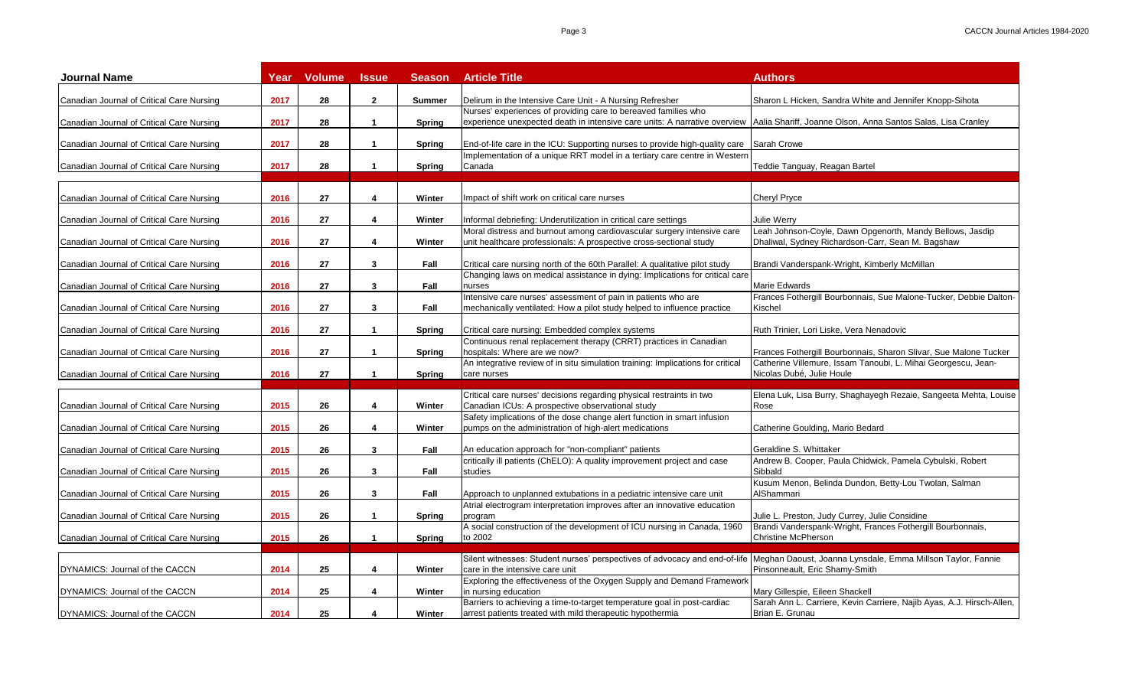| <b>Journal Name</b>                       | Year | <b>Volume</b> | <b>Issue</b>         | <b>Season</b> | <b>Article Title</b>                                                                                                                                                                                       | Authors                                                                                                                           |
|-------------------------------------------|------|---------------|----------------------|---------------|------------------------------------------------------------------------------------------------------------------------------------------------------------------------------------------------------------|-----------------------------------------------------------------------------------------------------------------------------------|
| Canadian Journal of Critical Care Nursing | 2017 | 28            | $\mathbf{2}$         | <b>Summer</b> | Delirum in the Intensive Care Unit - A Nursing Refresher                                                                                                                                                   | Sharon L Hicken, Sandra White and Jennifer Knopp-Sihota                                                                           |
| Canadian Journal of Critical Care Nursing | 2017 | 28            | $\mathbf{1}$         | <b>Spring</b> | Nurses' experiences of providing care to bereaved families who<br>experience unexpected death in intensive care units: A narrative overview   Aalia Shariff, Joanne Olson, Anna Santos Salas, Lisa Cranley |                                                                                                                                   |
|                                           |      |               |                      |               |                                                                                                                                                                                                            |                                                                                                                                   |
| Canadian Journal of Critical Care Nursing | 2017 | 28            | $\blacktriangleleft$ | <b>Spring</b> | End-of-life care in the ICU: Supporting nurses to provide high-quality care Sarah Crowe                                                                                                                    |                                                                                                                                   |
| Canadian Journal of Critical Care Nursing | 2017 | 28            | $\mathbf{1}$         | <b>Spring</b> | Implementation of a unique RRT model in a tertiary care centre in Western<br>Canada                                                                                                                        | Teddie Tanguay, Reagan Bartel                                                                                                     |
| Canadian Journal of Critical Care Nursing | 2016 | 27            | 4                    | Winter        | Impact of shift work on critical care nurses                                                                                                                                                               | <b>Cheryl Pryce</b>                                                                                                               |
|                                           | 2016 | 27            | 4                    |               |                                                                                                                                                                                                            |                                                                                                                                   |
| Canadian Journal of Critical Care Nursing |      |               |                      | Winter        | Informal debriefing: Underutilization in critical care settings<br>Moral distress and burnout among cardiovascular surgery intensive care                                                                  | Julie Werry<br>Leah Johnson-Coyle, Dawn Opgenorth, Mandy Bellows, Jasdip                                                          |
| Canadian Journal of Critical Care Nursing | 2016 | 27            | 4                    | Winter        | unit healthcare professionals: A prospective cross-sectional study                                                                                                                                         | Dhaliwal, Sydney Richardson-Carr, Sean M. Bagshaw                                                                                 |
| Canadian Journal of Critical Care Nursing | 2016 | 27            | 3                    | Fall          | Critical care nursing north of the 60th Parallel: A qualitative pilot study                                                                                                                                | Brandi Vanderspank-Wright, Kimberly McMillan                                                                                      |
|                                           |      |               |                      |               | Changing laws on medical assistance in dying: Implications for critical care                                                                                                                               |                                                                                                                                   |
| Canadian Journal of Critical Care Nursing | 2016 | 27            | 3                    | Fall          | nurses                                                                                                                                                                                                     | Marie Edwards                                                                                                                     |
| Canadian Journal of Critical Care Nursing | 2016 | 27            | 3                    | Fall          | Intensive care nurses' assessment of pain in patients who are<br>mechanically ventilated: How a pilot study helped to influence practice                                                                   | Frances Fothergill Bourbonnais, Sue Malone-Tucker, Debbie Dalton-<br>Kischel                                                      |
| Canadian Journal of Critical Care Nursing | 2016 | 27            | $\mathbf{1}$         | Spring        | Critical care nursing: Embedded complex systems                                                                                                                                                            | Ruth Trinier, Lori Liske, Vera Nenadovic                                                                                          |
|                                           |      |               |                      |               | Continuous renal replacement therapy (CRRT) practices in Canadian                                                                                                                                          |                                                                                                                                   |
| Canadian Journal of Critical Care Nursing | 2016 | 27            | $\overline{1}$       | Spring        | hospitals: Where are we now?<br>An integrative review of in situ simulation training: Implications for critical                                                                                            | Frances Fothergill Bourbonnais, Sharon Slivar, Sue Malone Tucker<br>Catherine Villemure, Issam Tanoubi, L. Mihai Georgescu, Jean- |
| Canadian Journal of Critical Care Nursing | 2016 | 27            | $\mathbf{1}$         | Spring        | care nurses                                                                                                                                                                                                | Nicolas Dubé, Julie Houle                                                                                                         |
|                                           |      |               |                      |               | Critical care nurses' decisions regarding physical restraints in two                                                                                                                                       | Elena Luk, Lisa Burry, Shaghayegh Rezaie, Sangeeta Mehta, Louise                                                                  |
| Canadian Journal of Critical Care Nursing | 2015 | 26            | 4                    | Winter        | Canadian ICUs: A prospective observational study                                                                                                                                                           | Rose                                                                                                                              |
| Canadian Journal of Critical Care Nursing | 2015 | 26            | 4                    | Winter        | Safety implications of the dose change alert function in smart infusion<br>pumps on the administration of high-alert medications                                                                           | Catherine Goulding, Mario Bedard                                                                                                  |
|                                           |      |               |                      |               |                                                                                                                                                                                                            |                                                                                                                                   |
| Canadian Journal of Critical Care Nursing | 2015 | 26            | 3                    | Fall          | An education approach for "non-compliant" patients<br>critically ill patients (ChELO): A quality improvement project and case                                                                              | Geraldine S. Whittaker<br>Andrew B. Cooper, Paula Chidwick, Pamela Cybulski, Robert                                               |
| Canadian Journal of Critical Care Nursing | 2015 | 26            | 3                    | Fall          | studies                                                                                                                                                                                                    | Sibbald                                                                                                                           |
|                                           |      |               |                      |               |                                                                                                                                                                                                            | Kusum Menon, Belinda Dundon, Betty-Lou Twolan, Salman                                                                             |
| Canadian Journal of Critical Care Nursing | 2015 | 26            | 3                    | Fall          | Approach to unplanned extubations in a pediatric intensive care unit                                                                                                                                       | AlShammari                                                                                                                        |
| Canadian Journal of Critical Care Nursing | 2015 | 26            | $\blacktriangleleft$ | Spring        | Atrial electrogram interpretation improves after an innovative education<br>program                                                                                                                        | Julie L. Preston, Judy Currey, Julie Considine                                                                                    |
| Canadian Journal of Critical Care Nursing | 2015 | 26            | $\mathbf{1}$         | <b>Spring</b> | A social construction of the development of ICU nursing in Canada, 1960<br>to 2002                                                                                                                         | Brandi Vanderspank-Wright, Frances Fothergill Bourbonnais,<br>Christine McPherson                                                 |
|                                           |      |               |                      |               |                                                                                                                                                                                                            |                                                                                                                                   |
| DYNAMICS: Journal of the CACCN            | 2014 | 25            | 4                    | Winter        | Silent witnesses: Student nurses' perspectives of advocacy and end-of-life Meghan Daoust, Joanna Lynsdale, Emma Millson Taylor, Fannie<br>care in the intensive care unit                                  | Pinsonneault, Eric Shamy-Smith                                                                                                    |
|                                           | 2014 |               | 4                    |               | Exploring the effectiveness of the Oxygen Supply and Demand Framework                                                                                                                                      |                                                                                                                                   |
| DYNAMICS: Journal of the CACCN            |      | 25            |                      | Winter        | in nursing education<br>Barriers to achieving a time-to-target temperature goal in post-cardiac                                                                                                            | Mary Gillespie, Eileen Shackell<br>Sarah Ann L. Carriere, Kevin Carriere, Najib Ayas, A.J. Hirsch-Allen,                          |
| DYNAMICS: Journal of the CACCN            | 2014 | 25            | 4                    | Winter        | arrest patients treated with mild therapeutic hypothermia                                                                                                                                                  | Brian E. Grunau                                                                                                                   |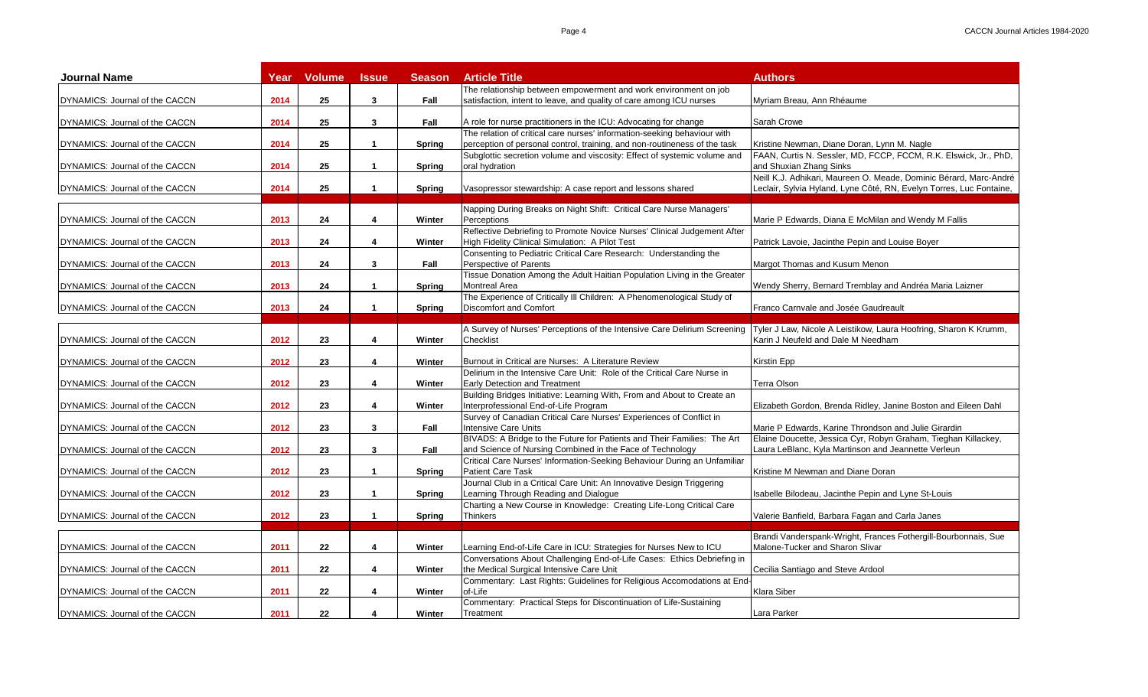| <b>Journal Name</b>            | Year | <b>Volume</b> | <b>Issue</b>         | <b>Season</b> | <b>Article Title</b>                                                                                                                         | <b>Authors</b>                                                                                                  |
|--------------------------------|------|---------------|----------------------|---------------|----------------------------------------------------------------------------------------------------------------------------------------------|-----------------------------------------------------------------------------------------------------------------|
|                                |      |               |                      |               | The relationship between empowerment and work environment on job                                                                             |                                                                                                                 |
| DYNAMICS: Journal of the CACCN | 2014 | 25            | $\mathbf{3}$         | Fall          | satisfaction, intent to leave, and quality of care among ICU nurses                                                                          | Myriam Breau, Ann Rhéaume                                                                                       |
|                                |      |               |                      |               |                                                                                                                                              |                                                                                                                 |
| DYNAMICS: Journal of the CACCN | 2014 | 25            | 3                    | Fall          | A role for nurse practitioners in the ICU: Advocating for change<br>The relation of critical care nurses' information-seeking behaviour with | Sarah Crowe                                                                                                     |
|                                |      |               |                      |               |                                                                                                                                              |                                                                                                                 |
| DYNAMICS: Journal of the CACCN | 2014 | 25            | $\mathbf{1}$         | Spring        | perception of personal control, training, and non-routineness of the task                                                                    | Kristine Newman, Diane Doran, Lynn M. Nagle<br>FAAN, Curtis N. Sessler, MD, FCCP, FCCM, R.K. Elswick, Jr., PhD, |
| DYNAMICS: Journal of the CACCN | 2014 | 25            | $\mathbf{1}$         | Spring        | Subglottic secretion volume and viscosity: Effect of systemic volume and<br>oral hydration                                                   | and Shuxian Zhang Sinks                                                                                         |
|                                |      |               |                      |               |                                                                                                                                              | Neill K.J. Adhikari, Maureen O. Meade, Dominic Bérard, Marc-André                                               |
| DYNAMICS: Journal of the CACCN | 2014 | 25            | $\mathbf{1}$         | <b>Spring</b> | Vasopressor stewardship: A case report and lessons shared                                                                                    | Leclair, Sylvia Hyland, Lyne Côté, RN, Evelyn Torres, Luc Fontaine,                                             |
|                                |      |               |                      |               |                                                                                                                                              |                                                                                                                 |
|                                |      |               |                      |               | Napping During Breaks on Night Shift: Critical Care Nurse Managers'                                                                          |                                                                                                                 |
| DYNAMICS: Journal of the CACCN | 2013 | 24            | 4                    | Winter        | Perceptions                                                                                                                                  | Marie P Edwards, Diana E McMilan and Wendy M Fallis                                                             |
|                                |      |               |                      |               | Reflective Debriefing to Promote Novice Nurses' Clinical Judgement After                                                                     |                                                                                                                 |
| DYNAMICS: Journal of the CACCN | 2013 | 24            | $\boldsymbol{4}$     | Winter        | High Fidelity Clinical Simulation: A Pilot Test                                                                                              | Patrick Lavoie, Jacinthe Pepin and Louise Boyer                                                                 |
|                                |      |               |                      |               | Consenting to Pediatric Critical Care Research: Understanding the                                                                            |                                                                                                                 |
| DYNAMICS: Journal of the CACCN | 2013 | 24            | 3                    | Fall          | Perspective of Parents                                                                                                                       | Margot Thomas and Kusum Menon                                                                                   |
|                                |      |               |                      |               | Tissue Donation Among the Adult Haitian Population Living in the Greater                                                                     |                                                                                                                 |
| DYNAMICS: Journal of the CACCN | 2013 | 24            | $\blacktriangleleft$ | Spring        | <b>Montreal Area</b>                                                                                                                         | Wendy Sherry, Bernard Tremblay and Andréa Maria Laizner                                                         |
|                                |      |               |                      |               | The Experience of Critically III Children: A Phenomenological Study of                                                                       |                                                                                                                 |
| DYNAMICS: Journal of the CACCN | 2013 | 24            | $\mathbf{1}$         | Spring        | Discomfort and Comfort                                                                                                                       | Franco Carnvale and Josée Gaudreault                                                                            |
|                                |      |               |                      |               |                                                                                                                                              |                                                                                                                 |
|                                |      |               |                      |               | A Survey of Nurses' Perceptions of the Intensive Care Delirium Screening                                                                     | Tyler J Law, Nicole A Leistikow, Laura Hoofring, Sharon K Krumm,                                                |
| DYNAMICS: Journal of the CACCN | 2012 | 23            | 4                    | Winter        | Checklist                                                                                                                                    | Karin J Neufeld and Dale M Needham                                                                              |
|                                |      |               |                      |               |                                                                                                                                              |                                                                                                                 |
| DYNAMICS: Journal of the CACCN | 2012 | 23            | 4                    | Winter        | Burnout in Critical are Nurses: A Literature Review                                                                                          | Kirstin Epp                                                                                                     |
|                                |      |               |                      |               | Delirium in the Intensive Care Unit: Role of the Critical Care Nurse in                                                                      |                                                                                                                 |
| DYNAMICS: Journal of the CACCN | 2012 | 23            | 4                    | Winter        | Early Detection and Treatment                                                                                                                | <b>Terra Olson</b>                                                                                              |
|                                |      |               |                      |               | Building Bridges Initiative: Learning With, From and About to Create an                                                                      |                                                                                                                 |
| DYNAMICS: Journal of the CACCN | 2012 | 23            | 4                    | Winter        | Interprofessional End-of-Life Program                                                                                                        | Elizabeth Gordon, Brenda Ridley, Janine Boston and Eileen Dahl                                                  |
|                                |      |               |                      |               | Survey of Canadian Critical Care Nurses' Experiences of Conflict in                                                                          |                                                                                                                 |
| DYNAMICS: Journal of the CACCN | 2012 | 23            | $\mathbf{3}$         | Fall          | <b>Intensive Care Units</b>                                                                                                                  | Marie P Edwards, Karine Throndson and Julie Girardin                                                            |
|                                |      |               |                      |               | BIVADS: A Bridge to the Future for Patients and Their Families: The Art                                                                      | Elaine Doucette, Jessica Cyr, Robyn Graham, Tieghan Killackey,                                                  |
| DYNAMICS: Journal of the CACCN | 2012 | 23            | 3                    | Fall          | and Science of Nursing Combined in the Face of Technology                                                                                    | Laura LeBlanc, Kyla Martinson and Jeannette Verleun                                                             |
|                                |      |               |                      |               | Critical Care Nurses' Information-Seeking Behaviour During an Unfamiliar                                                                     |                                                                                                                 |
| DYNAMICS: Journal of the CACCN | 2012 | 23            | $\mathbf{1}$         | <b>Spring</b> | <b>Patient Care Task</b>                                                                                                                     | Kristine M Newman and Diane Doran                                                                               |
|                                |      |               |                      |               | Journal Club in a Critical Care Unit: An Innovative Design Triggering                                                                        |                                                                                                                 |
| DYNAMICS: Journal of the CACCN | 2012 | 23            | $\blacktriangleleft$ | <b>Spring</b> | Learning Through Reading and Dialogue                                                                                                        | Isabelle Bilodeau, Jacinthe Pepin and Lyne St-Louis                                                             |
|                                |      |               |                      |               | Charting a New Course in Knowledge: Creating Life-Long Critical Care                                                                         |                                                                                                                 |
| DYNAMICS: Journal of the CACCN | 2012 | 23            | $\mathbf{1}$         | <b>Spring</b> | <b>Thinkers</b>                                                                                                                              | Valerie Banfield, Barbara Fagan and Carla Janes                                                                 |
|                                |      |               |                      |               |                                                                                                                                              |                                                                                                                 |
|                                |      |               |                      |               |                                                                                                                                              | Brandi Vanderspank-Wright, Frances Fothergill-Bourbonnais, Sue                                                  |
| DYNAMICS: Journal of the CACCN | 2011 | 22            | 4                    | Winter        | Learning End-of-Life Care in ICU: Strategies for Nurses New to ICU                                                                           | Malone-Tucker and Sharon Slivar                                                                                 |
|                                |      |               |                      |               | Conversations About Challenging End-of-Life Cases: Ethics Debriefing in                                                                      |                                                                                                                 |
| DYNAMICS: Journal of the CACCN | 2011 | 22            | 4                    | Winter        | the Medical Surgical Intensive Care Unit                                                                                                     | Cecilia Santiago and Steve Ardool                                                                               |
|                                |      |               |                      |               | Commentary: Last Rights: Guidelines for Religious Accomodations at End-                                                                      |                                                                                                                 |
| DYNAMICS: Journal of the CACCN | 2011 | 22            | 4                    | Winter        | of-Life                                                                                                                                      | Klara Siber                                                                                                     |
|                                |      |               |                      |               | Commentary: Practical Steps for Discontinuation of Life-Sustaining                                                                           |                                                                                                                 |
| DYNAMICS: Journal of the CACCN | 2011 | 22            | 4                    | Winter        | Treatment                                                                                                                                    | Lara Parker                                                                                                     |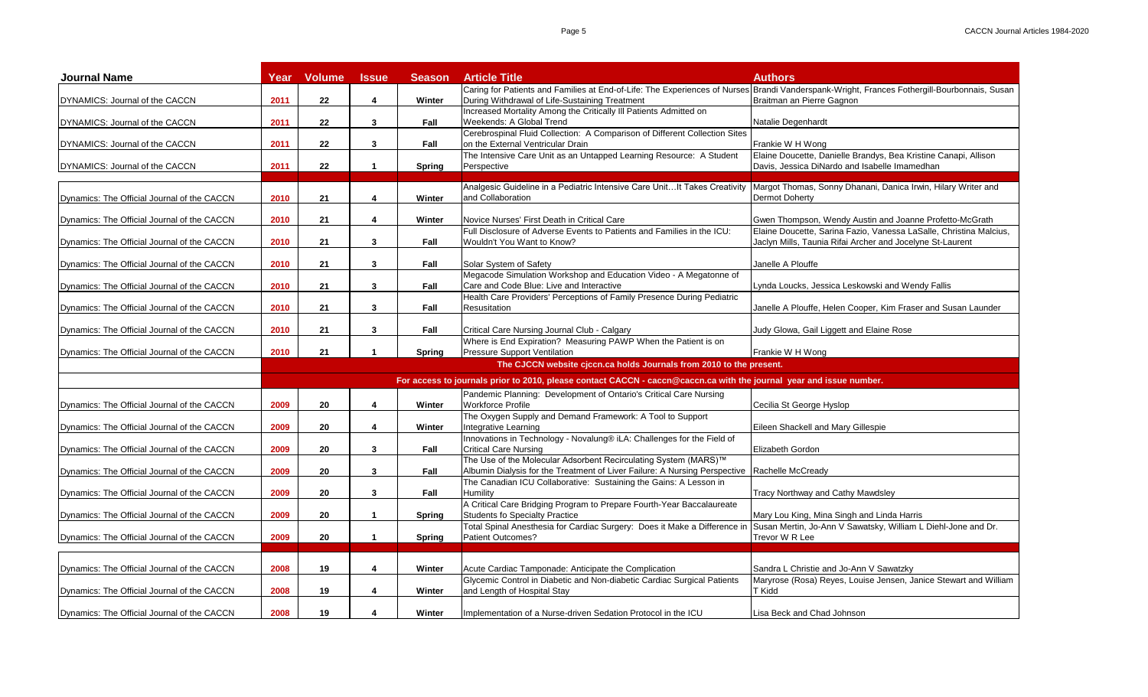| <b>Journal Name</b>                         | Year | <b>Volume</b>                                                                                                       | <b>Issue</b>         | <b>Season</b> | <b>Article Title</b>                                                                                                                                                                          | <b>Authors</b>                                                                                                                  |  |  |
|---------------------------------------------|------|---------------------------------------------------------------------------------------------------------------------|----------------------|---------------|-----------------------------------------------------------------------------------------------------------------------------------------------------------------------------------------------|---------------------------------------------------------------------------------------------------------------------------------|--|--|
| DYNAMICS: Journal of the CACCN              | 2011 | 22                                                                                                                  | 4                    | Winter        | Caring for Patients and Families at End-of-Life: The Experiences of Nurses Brandi Vanderspank-Wright, Frances Fothergill-Bourbonnais, Susan<br>During Withdrawal of Life-Sustaining Treatment | Braitman an Pierre Gagnon                                                                                                       |  |  |
| DYNAMICS: Journal of the CACCN              | 2011 | $22 \,$                                                                                                             | 3                    | Fall          | Increased Mortality Among the Critically III Patients Admitted on<br>Weekends: A Global Trend                                                                                                 | Natalie Degenhardt                                                                                                              |  |  |
| DYNAMICS: Journal of the CACCN              | 2011 | 22                                                                                                                  | 3                    | Fall          | Cerebrospinal Fluid Collection: A Comparison of Different Collection Sites<br>on the External Ventricular Drain                                                                               | Frankie W H Wong                                                                                                                |  |  |
| DYNAMICS: Journal of the CACCN              | 2011 | 22                                                                                                                  | $\mathbf{1}$         | Spring        | The Intensive Care Unit as an Untapped Learning Resource: A Student<br>Perspective                                                                                                            | Elaine Doucette, Danielle Brandys, Bea Kristine Canapi, Allison<br>Davis, Jessica DiNardo and Isabelle Imamedhan                |  |  |
|                                             |      |                                                                                                                     |                      |               |                                                                                                                                                                                               |                                                                                                                                 |  |  |
| Dynamics: The Official Journal of the CACCN | 2010 | 21                                                                                                                  | 4                    | Winter        | Analgesic Guideline in a Pediatric Intensive Care Unit It Takes Creativity<br>and Collaboration                                                                                               | Margot Thomas, Sonny Dhanani, Danica Irwin, Hilary Writer and<br>Dermot Doherty                                                 |  |  |
| Dynamics: The Official Journal of the CACCN | 2010 | 21                                                                                                                  | 4                    | Winter        | Novice Nurses' First Death in Critical Care                                                                                                                                                   | Gwen Thompson, Wendy Austin and Joanne Profetto-McGrath                                                                         |  |  |
| Dynamics: The Official Journal of the CACCN | 2010 | 21                                                                                                                  | 3                    | Fall          | Full Disclosure of Adverse Events to Patients and Families in the ICU:<br>Wouldn't You Want to Know?                                                                                          | Elaine Doucette, Sarina Fazio, Vanessa LaSalle, Christina Malcius,<br>Jaclyn Mills, Taunia Rifai Archer and Jocelyne St-Laurent |  |  |
| Dynamics: The Official Journal of the CACCN | 2010 | 21                                                                                                                  | 3                    | Fall          | Solar System of Safety                                                                                                                                                                        | Janelle A Plouffe                                                                                                               |  |  |
| Dynamics: The Official Journal of the CACCN | 2010 | 21                                                                                                                  | 3                    | Fall          | Megacode Simulation Workshop and Education Video - A Megatonne of<br>Care and Code Blue: Live and Interactive                                                                                 | Lynda Loucks, Jessica Leskowski and Wendy Fallis                                                                                |  |  |
| Dynamics: The Official Journal of the CACCN | 2010 | 21                                                                                                                  | $\mathbf{3}$         | Fall          | Health Care Providers' Perceptions of Family Presence During Pediatric<br><b>Resusitation</b>                                                                                                 | Janelle A Plouffe, Helen Cooper, Kim Fraser and Susan Launder                                                                   |  |  |
| Dynamics: The Official Journal of the CACCN | 2010 | 21                                                                                                                  | 3                    | Fall          | Critical Care Nursing Journal Club - Calgary                                                                                                                                                  | Judy Glowa, Gail Liggett and Elaine Rose                                                                                        |  |  |
| Dynamics: The Official Journal of the CACCN | 2010 | 21                                                                                                                  | $\blacktriangleleft$ | Spring        | Where is End Expiration? Measuring PAWP When the Patient is on<br>Pressure Support Ventilation                                                                                                | Frankie W H Wong                                                                                                                |  |  |
|                                             |      |                                                                                                                     |                      |               | The CJCCN website cjccn.ca holds Journals from 2010 to the present.                                                                                                                           |                                                                                                                                 |  |  |
|                                             |      | For access to journals prior to 2010, please contact CACCN - caccn@caccn.ca with the journal year and issue number. |                      |               |                                                                                                                                                                                               |                                                                                                                                 |  |  |
| Dynamics: The Official Journal of the CACCN | 2009 | 20                                                                                                                  | 4                    | Winter        | Pandemic Planning: Development of Ontario's Critical Care Nursing<br><b>Workforce Profile</b>                                                                                                 | Cecilia St George Hyslop                                                                                                        |  |  |
| Dynamics: The Official Journal of the CACCN | 2009 | 20                                                                                                                  | $\overline{4}$       | Winter        | The Oxygen Supply and Demand Framework: A Tool to Support<br>Integrative Learning                                                                                                             | Eileen Shackell and Mary Gillespie                                                                                              |  |  |
| Dynamics: The Official Journal of the CACCN | 2009 | 20                                                                                                                  | 3                    | Fall          | Innovations in Technology - Novalung® iLA: Challenges for the Field of<br><b>Critical Care Nursing</b>                                                                                        | Elizabeth Gordon                                                                                                                |  |  |
| Dynamics: The Official Journal of the CACCN | 2009 | 20                                                                                                                  | 3                    | Fall          | The Use of the Molecular Adsorbent Recirculating System (MARS)™<br>Albumin Dialysis for the Treatment of Liver Failure: A Nursing Perspective   Rachelle McCready                             |                                                                                                                                 |  |  |
|                                             | 2009 | 20                                                                                                                  | 3                    |               | The Canadian ICU Collaborative: Sustaining the Gains: A Lesson in<br>Humility                                                                                                                 |                                                                                                                                 |  |  |
| Dynamics: The Official Journal of the CACCN |      |                                                                                                                     |                      | Fall          | A Critical Care Bridging Program to Prepare Fourth-Year Baccalaureate                                                                                                                         | Tracy Northway and Cathy Mawdsley                                                                                               |  |  |
| Dynamics: The Official Journal of the CACCN | 2009 | 20                                                                                                                  | $\blacktriangleleft$ | Spring        | Students fo Specialty Practice<br>Total Spinal Anesthesia for Cardiac Surgery: Does it Make a Difference in                                                                                   | Mary Lou King, Mina Singh and Linda Harris<br>Susan Mertin, Jo-Ann V Sawatsky, William L Diehl-Jone and Dr.                     |  |  |
| Dynamics: The Official Journal of the CACCN | 2009 | 20                                                                                                                  | $\mathbf{1}$         | Spring        | Patient Outcomes?                                                                                                                                                                             | Trevor W R Lee                                                                                                                  |  |  |
| Dynamics: The Official Journal of the CACCN | 2008 | 19                                                                                                                  | 4                    | Winter        | Acute Cardiac Tamponade: Anticipate the Complication                                                                                                                                          | Sandra L Christie and Jo-Ann V Sawatzky                                                                                         |  |  |
| Dynamics: The Official Journal of the CACCN | 2008 | 19                                                                                                                  | 4                    | Winter        | Glycemic Control in Diabetic and Non-diabetic Cardiac Surgical Patients<br>and Length of Hospital Stay                                                                                        | Maryrose (Rosa) Reyes, Louise Jensen, Janice Stewart and William<br>T Kidd                                                      |  |  |
| Dynamics: The Official Journal of the CACCN | 2008 | 19                                                                                                                  | 4                    | Winter        | Implementation of a Nurse-driven Sedation Protocol in the ICU                                                                                                                                 | Lisa Beck and Chad Johnson                                                                                                      |  |  |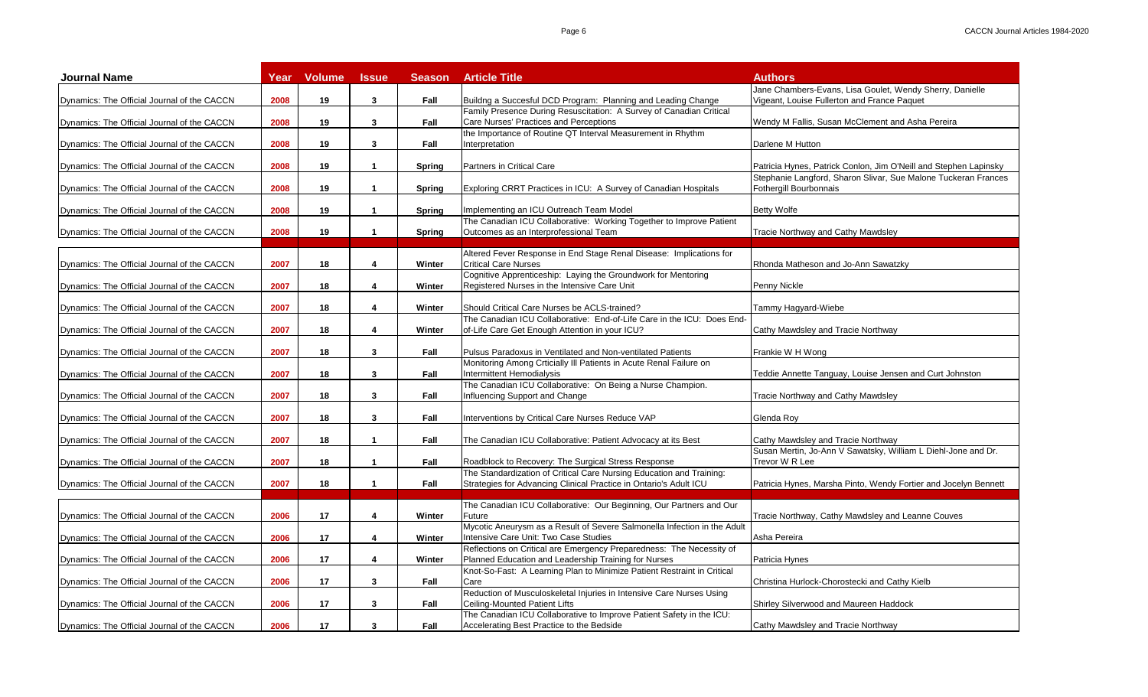| <b>Journal Name</b>                         | Year | <b>Volume</b> | <b>Issue</b>         | <b>Season</b> | <b>Article Title</b>                                                                                          | <b>Authors</b>                                                                           |
|---------------------------------------------|------|---------------|----------------------|---------------|---------------------------------------------------------------------------------------------------------------|------------------------------------------------------------------------------------------|
|                                             |      |               |                      |               |                                                                                                               | Jane Chambers-Evans, Lisa Goulet, Wendy Sherry, Danielle                                 |
| Dynamics: The Official Journal of the CACCN | 2008 | 19            | 3                    | Fall          | Buildng a Succesful DCD Program: Planning and Leading Change                                                  | Vigeant, Louise Fullerton and France Paquet                                              |
| Dynamics: The Official Journal of the CACCN | 2008 | 19            | 3                    | Fall          | Family Presence During Resuscitation: A Survey of Canadian Critical<br>Care Nurses' Practices and Perceptions | Wendy M Fallis, Susan McClement and Asha Pereira                                         |
|                                             |      |               |                      |               | the Importance of Routine QT Interval Measurement in Rhythm                                                   |                                                                                          |
| Dynamics: The Official Journal of the CACCN | 2008 | 19            | 3                    | Fall          | nterpretation                                                                                                 | Darlene M Hutton                                                                         |
|                                             |      |               |                      |               |                                                                                                               |                                                                                          |
| Dynamics: The Official Journal of the CACCN | 2008 | 19            | $\mathbf{1}$         | Spring        | Partners in Critical Care                                                                                     | Patricia Hynes, Patrick Conlon, Jim O'Neill and Stephen Lapinsky                         |
| Dynamics: The Official Journal of the CACCN | 2008 | 19            | $\mathbf{1}$         | Spring        | Exploring CRRT Practices in ICU: A Survey of Canadian Hospitals                                               | Stephanie Langford, Sharon Slivar, Sue Malone Tuckeran Frances<br>Fothergill Bourbonnais |
|                                             |      |               |                      |               |                                                                                                               |                                                                                          |
| Dynamics: The Official Journal of the CACCN | 2008 | 19            | $\mathbf{1}$         | <b>Spring</b> | Implementing an ICU Outreach Team Model                                                                       | <b>Betty Wolfe</b>                                                                       |
|                                             |      |               |                      |               | The Canadian ICU Collaborative: Working Together to Improve Patient                                           |                                                                                          |
| Dynamics: The Official Journal of the CACCN | 2008 | 19            | $\blacktriangleleft$ | Spring        | Outcomes as an Interprofessional Team                                                                         | Tracie Northway and Cathy Mawdsley                                                       |
|                                             |      |               |                      |               |                                                                                                               |                                                                                          |
|                                             |      |               |                      |               | Altered Fever Response in End Stage Renal Disease: Implications for                                           |                                                                                          |
| Dynamics: The Official Journal of the CACCN | 2007 | 18            | 4                    | Winter        | <b>Critical Care Nurses</b><br>Cognitive Apprenticeship: Laying the Groundwork for Mentoring                  | Rhonda Matheson and Jo-Ann Sawatzky                                                      |
| Dynamics: The Official Journal of the CACCN | 2007 | 18            | 4                    | Winter        | Registered Nurses in the Intensive Care Unit                                                                  | Penny Nickle                                                                             |
|                                             |      |               |                      |               |                                                                                                               |                                                                                          |
| Dynamics: The Official Journal of the CACCN | 2007 | 18            | 4                    | Winter        | Should Critical Care Nurses be ACLS-trained?                                                                  | Tammy Hagyard-Wiebe                                                                      |
|                                             |      |               |                      |               | The Canadian ICU Collaborative: End-of-Life Care in the ICU: Does End-                                        |                                                                                          |
| Dynamics: The Official Journal of the CACCN | 2007 | 18            | 4                    | Winter        | of-Life Care Get Enough Attention in your ICU?                                                                | Cathy Mawdsley and Tracie Northway                                                       |
|                                             |      |               |                      |               |                                                                                                               |                                                                                          |
| Dynamics: The Official Journal of the CACCN | 2007 | 18            | 3                    | Fall          | Pulsus Paradoxus in Ventilated and Non-ventilated Patients                                                    | Frankie W H Wong                                                                         |
|                                             |      |               |                      |               | Monitoring Among Crticially III Patients in Acute Renal Failure on                                            |                                                                                          |
| Dynamics: The Official Journal of the CACCN | 2007 | 18            | 3                    | Fall          | Intermittent Hemodialysis<br>The Canadian ICU Collaborative: On Being a Nurse Champion.                       | Teddie Annette Tanguay, Louise Jensen and Curt Johnston                                  |
| Dynamics: The Official Journal of the CACCN | 2007 | 18            | $\mathbf{3}$         | Fall          | Influencing Support and Change                                                                                | Tracie Northway and Cathy Mawdsley                                                       |
|                                             |      |               |                      |               |                                                                                                               |                                                                                          |
| Dynamics: The Official Journal of the CACCN | 2007 | 18            | $\mathbf{3}$         | Fall          | Interventions by Critical Care Nurses Reduce VAP                                                              | Glenda Roy                                                                               |
|                                             |      |               |                      |               |                                                                                                               |                                                                                          |
| Dynamics: The Official Journal of the CACCN | 2007 | 18            | $\mathbf{1}$         | Fall          | The Canadian ICU Collaborative: Patient Advocacy at its Best                                                  | Cathy Mawdsley and Tracie Northway                                                       |
|                                             |      |               |                      |               |                                                                                                               | Susan Mertin, Jo-Ann V Sawatsky, William L Diehl-Jone and Dr.                            |
| Dynamics: The Official Journal of the CACCN | 2007 | 18            | $\mathbf{1}$         | Fall          | Roadblock to Recovery: The Surgical Stress Response                                                           | Trevor W R Lee                                                                           |
|                                             |      |               | $\blacktriangleleft$ |               | The Standardization of Critical Care Nursing Education and Training:                                          |                                                                                          |
| Dynamics: The Official Journal of the CACCN | 2007 | 18            |                      | Fall          | Strategies for Advancing Clinical Practice in Ontario's Adult ICU                                             | Patricia Hynes, Marsha Pinto, Wendy Fortier and Jocelyn Bennett                          |
|                                             |      |               |                      |               | The Canadian ICU Collaborative: Our Beginning, Our Partners and Our                                           |                                                                                          |
| Dynamics: The Official Journal of the CACCN | 2006 | 17            | 4                    | Winter        | Future                                                                                                        | Tracie Northway, Cathy Mawdsley and Leanne Couves                                        |
|                                             |      |               |                      |               | Mycotic Aneurysm as a Result of Severe Salmonella Infection in the Adult                                      |                                                                                          |
| Dynamics: The Official Journal of the CACCN | 2006 | 17            | 4                    | Winter        | Intensive Care Unit: Two Case Studies                                                                         | Asha Pereira                                                                             |
|                                             |      |               |                      |               | Reflections on Critical are Emergency Preparedness: The Necessity of                                          |                                                                                          |
| Dynamics: The Official Journal of the CACCN | 2006 | 17            | 4                    | Winter        | Planned Education and Leadership Training for Nurses                                                          | Patricia Hynes                                                                           |
|                                             |      | 17            | 3                    |               | Knot-So-Fast: A Learning Plan to Minimize Patient Restraint in Critical<br>Care                               |                                                                                          |
| Dynamics: The Official Journal of the CACCN | 2006 |               |                      | Fall          | Reduction of Musculoskeletal Injuries in Intensive Care Nurses Using                                          | Christina Hurlock-Chorostecki and Cathy Kielb                                            |
| Dynamics: The Official Journal of the CACCN | 2006 | 17            | 3                    | Fall          | Ceiling-Mounted Patient Lifts                                                                                 | Shirley Silverwood and Maureen Haddock                                                   |
|                                             |      |               |                      |               | The Canadian ICU Collaborative to Improve Patient Safety in the ICU:                                          |                                                                                          |
| Dynamics: The Official Journal of the CACCN | 2006 | 17            | 3                    | Fall          | Accelerating Best Practice to the Bedside                                                                     | Cathy Mawdsley and Tracie Northway                                                       |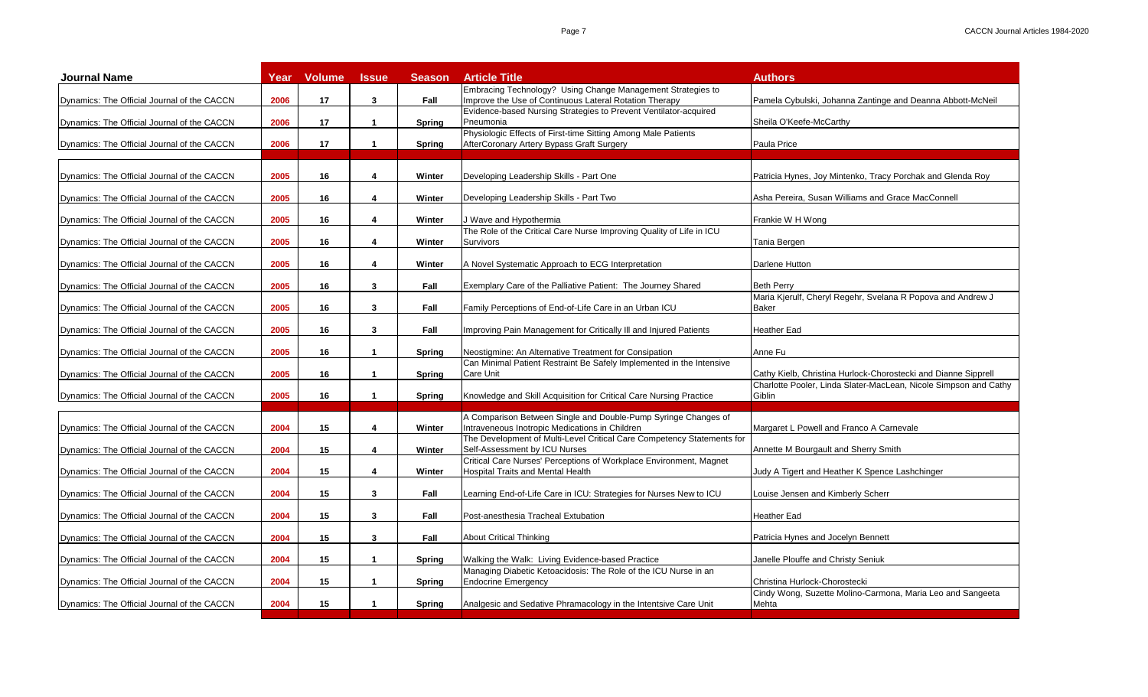| Improve the Use of Continuous Lateral Rotation Therapy<br>Pamela Cybulski, Johanna Zantinge and Deanna Abbott-McNeil<br>17<br>Dynamics: The Official Journal of the CACCN<br>2006<br>3<br>Fall<br>Evidence-based Nursing Strategies to Prevent Ventilator-acquired<br>2006<br>17<br>$\blacktriangleleft$<br>Pneumonia<br>Sheila O'Keefe-McCarthy<br>Spring<br>Physiologic Effects of First-time Sitting Among Male Patients<br>AfterCoronary Artery Bypass Graft Surgery<br>2006<br>17<br><b>Paula Price</b><br>$\overline{1}$<br>Spring<br>2005<br>16<br>Winter<br>4<br>Developing Leadership Skills - Part One<br>Patricia Hynes, Joy Mintenko, Tracy Porchak and Glenda Roy<br>2005<br>16<br>Asha Pereira, Susan Williams and Grace MacConnell<br>4<br>Winter<br>Developing Leadership Skills - Part Two<br>2005<br>16<br>4<br>Winter<br>J Wave and Hypothermia<br>Frankie W H Wong<br>The Role of the Critical Care Nurse Improving Quality of Life in ICU<br>2005<br>16<br>Survivors<br>Tania Bergen<br>4<br>Winter<br>2005<br>16<br>4<br>Winter<br>A Novel Systematic Approach to ECG Interpretation<br>Darlene Hutton<br>2005<br>16<br>3<br>Exemplary Care of the Palliative Patient: The Journey Shared<br><b>Beth Perry</b><br>Dynamics: The Official Journal of the CACCN<br>Fall<br>Maria Kjerulf, Cheryl Regehr, Svelana R Popova and Andrew J<br>2005<br>16<br>3<br>Fall<br>Family Perceptions of End-of-Life Care in an Urban ICU<br>Baker<br><b>Heather Ead</b><br>2005<br>16<br>$\mathbf{3}$<br>Fall<br>Improving Pain Management for Critically III and Injured Patients<br>2005<br>16<br>Neostigmine: An Alternative Treatment for Consipation<br>Anne Fu<br>$\mathbf{1}$<br><b>Spring</b><br>Can Minimal Patient Restraint Be Safely Implemented in the Intensive<br>Cathy Kielb, Christina Hurlock-Chorostecki and Dianne Sipprell<br>2005<br>16<br>Care Unit<br>-1<br><b>Spring</b><br>Charlotte Pooler, Linda Slater-MacLean, Nicole Simpson and Cathy<br>2005<br>16<br>Knowledge and Skill Acquisition for Critical Care Nursing Practice<br>Giblin<br>$\mathbf{1}$<br><b>Spring</b><br>A Comparison Between Single and Double-Pump Syringe Changes of<br>15<br>2004<br>4<br>Winter<br>Intraveneous Inotropic Medications in Children<br>Margaret L Powell and Franco A Carnevale<br>The Development of Multi-Level Critical Care Competency Statements for<br>15<br>Dynamics: The Official Journal of the CACCN<br>2004<br>4<br>Winter<br>Self-Assessment by ICU Nurses<br>Annette M Bourgault and Sherry Smith<br>Critical Care Nurses' Perceptions of Workplace Environment, Magnet<br>15<br><b>Hospital Traits and Mental Health</b><br>Judy A Tigert and Heather K Spence Lashchinger<br>Dynamics: The Official Journal of the CACCN<br>2004<br>4<br>Winter<br>15<br>3<br>2004<br>Fall<br>Learning End-of-Life Care in ICU: Strategies for Nurses New to ICU<br>Louise Jensen and Kimberly Scherr<br>15<br><b>Heather Ead</b><br>2004<br>3<br>Fall<br>Post-anesthesia Tracheal Extubation<br>15<br>3<br>2004<br>Fall<br><b>About Critical Thinking</b><br>Patricia Hynes and Jocelyn Bennett<br>15<br>Walking the Walk: Living Evidence-based Practice<br>2004<br>Janelle Plouffe and Christy Seniuk<br>$\mathbf{1}$<br><b>Spring</b><br>Managing Diabetic Ketoacidosis: The Role of the ICU Nurse in an<br>2004<br>15<br><b>Endocrine Emergency</b><br>Christina Hurlock-Chorostecki<br>$\overline{1}$<br>Spring<br>Cindy Wong, Suzette Molino-Carmona, Maria Leo and Sangeeta<br>2004<br>15<br>Analgesic and Sedative Phramacology in the Intentsive Care Unit<br>Mehta<br>$\overline{\mathbf{1}}$<br><b>Spring</b> | <b>Journal Name</b>                         | Year | <b>Volume</b> | <b>Issue</b> | <b>Season</b> | <b>Article Title</b>                                        | <b>Authors</b> |
|---------------------------------------------------------------------------------------------------------------------------------------------------------------------------------------------------------------------------------------------------------------------------------------------------------------------------------------------------------------------------------------------------------------------------------------------------------------------------------------------------------------------------------------------------------------------------------------------------------------------------------------------------------------------------------------------------------------------------------------------------------------------------------------------------------------------------------------------------------------------------------------------------------------------------------------------------------------------------------------------------------------------------------------------------------------------------------------------------------------------------------------------------------------------------------------------------------------------------------------------------------------------------------------------------------------------------------------------------------------------------------------------------------------------------------------------------------------------------------------------------------------------------------------------------------------------------------------------------------------------------------------------------------------------------------------------------------------------------------------------------------------------------------------------------------------------------------------------------------------------------------------------------------------------------------------------------------------------------------------------------------------------------------------------------------------------------------------------------------------------------------------------------------------------------------------------------------------------------------------------------------------------------------------------------------------------------------------------------------------------------------------------------------------------------------------------------------------------------------------------------------------------------------------------------------------------------------------------------------------------------------------------------------------------------------------------------------------------------------------------------------------------------------------------------------------------------------------------------------------------------------------------------------------------------------------------------------------------------------------------------------------------------------------------------------------------------------------------------------------------------------------------------------------------------------------------------------------------------------------------------------------------------------------------------------------------------------------------------------------------------------------------------------------------------------------------------------------------------------------------------------------------------------------------------------------------------------------------------------------------------------------------------|---------------------------------------------|------|---------------|--------------|---------------|-------------------------------------------------------------|----------------|
|                                                                                                                                                                                                                                                                                                                                                                                                                                                                                                                                                                                                                                                                                                                                                                                                                                                                                                                                                                                                                                                                                                                                                                                                                                                                                                                                                                                                                                                                                                                                                                                                                                                                                                                                                                                                                                                                                                                                                                                                                                                                                                                                                                                                                                                                                                                                                                                                                                                                                                                                                                                                                                                                                                                                                                                                                                                                                                                                                                                                                                                                                                                                                                                                                                                                                                                                                                                                                                                                                                                                                                                                                                                   |                                             |      |               |              |               | Embracing Technology? Using Change Management Strategies to |                |
|                                                                                                                                                                                                                                                                                                                                                                                                                                                                                                                                                                                                                                                                                                                                                                                                                                                                                                                                                                                                                                                                                                                                                                                                                                                                                                                                                                                                                                                                                                                                                                                                                                                                                                                                                                                                                                                                                                                                                                                                                                                                                                                                                                                                                                                                                                                                                                                                                                                                                                                                                                                                                                                                                                                                                                                                                                                                                                                                                                                                                                                                                                                                                                                                                                                                                                                                                                                                                                                                                                                                                                                                                                                   | Dynamics: The Official Journal of the CACCN |      |               |              |               |                                                             |                |
|                                                                                                                                                                                                                                                                                                                                                                                                                                                                                                                                                                                                                                                                                                                                                                                                                                                                                                                                                                                                                                                                                                                                                                                                                                                                                                                                                                                                                                                                                                                                                                                                                                                                                                                                                                                                                                                                                                                                                                                                                                                                                                                                                                                                                                                                                                                                                                                                                                                                                                                                                                                                                                                                                                                                                                                                                                                                                                                                                                                                                                                                                                                                                                                                                                                                                                                                                                                                                                                                                                                                                                                                                                                   | Dynamics: The Official Journal of the CACCN |      |               |              |               |                                                             |                |
|                                                                                                                                                                                                                                                                                                                                                                                                                                                                                                                                                                                                                                                                                                                                                                                                                                                                                                                                                                                                                                                                                                                                                                                                                                                                                                                                                                                                                                                                                                                                                                                                                                                                                                                                                                                                                                                                                                                                                                                                                                                                                                                                                                                                                                                                                                                                                                                                                                                                                                                                                                                                                                                                                                                                                                                                                                                                                                                                                                                                                                                                                                                                                                                                                                                                                                                                                                                                                                                                                                                                                                                                                                                   |                                             |      |               |              |               |                                                             |                |
|                                                                                                                                                                                                                                                                                                                                                                                                                                                                                                                                                                                                                                                                                                                                                                                                                                                                                                                                                                                                                                                                                                                                                                                                                                                                                                                                                                                                                                                                                                                                                                                                                                                                                                                                                                                                                                                                                                                                                                                                                                                                                                                                                                                                                                                                                                                                                                                                                                                                                                                                                                                                                                                                                                                                                                                                                                                                                                                                                                                                                                                                                                                                                                                                                                                                                                                                                                                                                                                                                                                                                                                                                                                   | Dynamics: The Official Journal of the CACCN |      |               |              |               |                                                             |                |
|                                                                                                                                                                                                                                                                                                                                                                                                                                                                                                                                                                                                                                                                                                                                                                                                                                                                                                                                                                                                                                                                                                                                                                                                                                                                                                                                                                                                                                                                                                                                                                                                                                                                                                                                                                                                                                                                                                                                                                                                                                                                                                                                                                                                                                                                                                                                                                                                                                                                                                                                                                                                                                                                                                                                                                                                                                                                                                                                                                                                                                                                                                                                                                                                                                                                                                                                                                                                                                                                                                                                                                                                                                                   | Dynamics: The Official Journal of the CACCN |      |               |              |               |                                                             |                |
|                                                                                                                                                                                                                                                                                                                                                                                                                                                                                                                                                                                                                                                                                                                                                                                                                                                                                                                                                                                                                                                                                                                                                                                                                                                                                                                                                                                                                                                                                                                                                                                                                                                                                                                                                                                                                                                                                                                                                                                                                                                                                                                                                                                                                                                                                                                                                                                                                                                                                                                                                                                                                                                                                                                                                                                                                                                                                                                                                                                                                                                                                                                                                                                                                                                                                                                                                                                                                                                                                                                                                                                                                                                   | Dynamics: The Official Journal of the CACCN |      |               |              |               |                                                             |                |
|                                                                                                                                                                                                                                                                                                                                                                                                                                                                                                                                                                                                                                                                                                                                                                                                                                                                                                                                                                                                                                                                                                                                                                                                                                                                                                                                                                                                                                                                                                                                                                                                                                                                                                                                                                                                                                                                                                                                                                                                                                                                                                                                                                                                                                                                                                                                                                                                                                                                                                                                                                                                                                                                                                                                                                                                                                                                                                                                                                                                                                                                                                                                                                                                                                                                                                                                                                                                                                                                                                                                                                                                                                                   | Dynamics: The Official Journal of the CACCN |      |               |              |               |                                                             |                |
|                                                                                                                                                                                                                                                                                                                                                                                                                                                                                                                                                                                                                                                                                                                                                                                                                                                                                                                                                                                                                                                                                                                                                                                                                                                                                                                                                                                                                                                                                                                                                                                                                                                                                                                                                                                                                                                                                                                                                                                                                                                                                                                                                                                                                                                                                                                                                                                                                                                                                                                                                                                                                                                                                                                                                                                                                                                                                                                                                                                                                                                                                                                                                                                                                                                                                                                                                                                                                                                                                                                                                                                                                                                   | Dynamics: The Official Journal of the CACCN |      |               |              |               |                                                             |                |
|                                                                                                                                                                                                                                                                                                                                                                                                                                                                                                                                                                                                                                                                                                                                                                                                                                                                                                                                                                                                                                                                                                                                                                                                                                                                                                                                                                                                                                                                                                                                                                                                                                                                                                                                                                                                                                                                                                                                                                                                                                                                                                                                                                                                                                                                                                                                                                                                                                                                                                                                                                                                                                                                                                                                                                                                                                                                                                                                                                                                                                                                                                                                                                                                                                                                                                                                                                                                                                                                                                                                                                                                                                                   |                                             |      |               |              |               |                                                             |                |
|                                                                                                                                                                                                                                                                                                                                                                                                                                                                                                                                                                                                                                                                                                                                                                                                                                                                                                                                                                                                                                                                                                                                                                                                                                                                                                                                                                                                                                                                                                                                                                                                                                                                                                                                                                                                                                                                                                                                                                                                                                                                                                                                                                                                                                                                                                                                                                                                                                                                                                                                                                                                                                                                                                                                                                                                                                                                                                                                                                                                                                                                                                                                                                                                                                                                                                                                                                                                                                                                                                                                                                                                                                                   |                                             |      |               |              |               |                                                             |                |
|                                                                                                                                                                                                                                                                                                                                                                                                                                                                                                                                                                                                                                                                                                                                                                                                                                                                                                                                                                                                                                                                                                                                                                                                                                                                                                                                                                                                                                                                                                                                                                                                                                                                                                                                                                                                                                                                                                                                                                                                                                                                                                                                                                                                                                                                                                                                                                                                                                                                                                                                                                                                                                                                                                                                                                                                                                                                                                                                                                                                                                                                                                                                                                                                                                                                                                                                                                                                                                                                                                                                                                                                                                                   | Dynamics: The Official Journal of the CACCN |      |               |              |               |                                                             |                |
|                                                                                                                                                                                                                                                                                                                                                                                                                                                                                                                                                                                                                                                                                                                                                                                                                                                                                                                                                                                                                                                                                                                                                                                                                                                                                                                                                                                                                                                                                                                                                                                                                                                                                                                                                                                                                                                                                                                                                                                                                                                                                                                                                                                                                                                                                                                                                                                                                                                                                                                                                                                                                                                                                                                                                                                                                                                                                                                                                                                                                                                                                                                                                                                                                                                                                                                                                                                                                                                                                                                                                                                                                                                   | Dynamics: The Official Journal of the CACCN |      |               |              |               |                                                             |                |
|                                                                                                                                                                                                                                                                                                                                                                                                                                                                                                                                                                                                                                                                                                                                                                                                                                                                                                                                                                                                                                                                                                                                                                                                                                                                                                                                                                                                                                                                                                                                                                                                                                                                                                                                                                                                                                                                                                                                                                                                                                                                                                                                                                                                                                                                                                                                                                                                                                                                                                                                                                                                                                                                                                                                                                                                                                                                                                                                                                                                                                                                                                                                                                                                                                                                                                                                                                                                                                                                                                                                                                                                                                                   | Dynamics: The Official Journal of the CACCN |      |               |              |               |                                                             |                |
|                                                                                                                                                                                                                                                                                                                                                                                                                                                                                                                                                                                                                                                                                                                                                                                                                                                                                                                                                                                                                                                                                                                                                                                                                                                                                                                                                                                                                                                                                                                                                                                                                                                                                                                                                                                                                                                                                                                                                                                                                                                                                                                                                                                                                                                                                                                                                                                                                                                                                                                                                                                                                                                                                                                                                                                                                                                                                                                                                                                                                                                                                                                                                                                                                                                                                                                                                                                                                                                                                                                                                                                                                                                   | Dynamics: The Official Journal of the CACCN |      |               |              |               |                                                             |                |
|                                                                                                                                                                                                                                                                                                                                                                                                                                                                                                                                                                                                                                                                                                                                                                                                                                                                                                                                                                                                                                                                                                                                                                                                                                                                                                                                                                                                                                                                                                                                                                                                                                                                                                                                                                                                                                                                                                                                                                                                                                                                                                                                                                                                                                                                                                                                                                                                                                                                                                                                                                                                                                                                                                                                                                                                                                                                                                                                                                                                                                                                                                                                                                                                                                                                                                                                                                                                                                                                                                                                                                                                                                                   | Dynamics: The Official Journal of the CACCN |      |               |              |               |                                                             |                |
|                                                                                                                                                                                                                                                                                                                                                                                                                                                                                                                                                                                                                                                                                                                                                                                                                                                                                                                                                                                                                                                                                                                                                                                                                                                                                                                                                                                                                                                                                                                                                                                                                                                                                                                                                                                                                                                                                                                                                                                                                                                                                                                                                                                                                                                                                                                                                                                                                                                                                                                                                                                                                                                                                                                                                                                                                                                                                                                                                                                                                                                                                                                                                                                                                                                                                                                                                                                                                                                                                                                                                                                                                                                   |                                             |      |               |              |               |                                                             |                |
|                                                                                                                                                                                                                                                                                                                                                                                                                                                                                                                                                                                                                                                                                                                                                                                                                                                                                                                                                                                                                                                                                                                                                                                                                                                                                                                                                                                                                                                                                                                                                                                                                                                                                                                                                                                                                                                                                                                                                                                                                                                                                                                                                                                                                                                                                                                                                                                                                                                                                                                                                                                                                                                                                                                                                                                                                                                                                                                                                                                                                                                                                                                                                                                                                                                                                                                                                                                                                                                                                                                                                                                                                                                   | Dynamics: The Official Journal of the CACCN |      |               |              |               |                                                             |                |
|                                                                                                                                                                                                                                                                                                                                                                                                                                                                                                                                                                                                                                                                                                                                                                                                                                                                                                                                                                                                                                                                                                                                                                                                                                                                                                                                                                                                                                                                                                                                                                                                                                                                                                                                                                                                                                                                                                                                                                                                                                                                                                                                                                                                                                                                                                                                                                                                                                                                                                                                                                                                                                                                                                                                                                                                                                                                                                                                                                                                                                                                                                                                                                                                                                                                                                                                                                                                                                                                                                                                                                                                                                                   |                                             |      |               |              |               |                                                             |                |
|                                                                                                                                                                                                                                                                                                                                                                                                                                                                                                                                                                                                                                                                                                                                                                                                                                                                                                                                                                                                                                                                                                                                                                                                                                                                                                                                                                                                                                                                                                                                                                                                                                                                                                                                                                                                                                                                                                                                                                                                                                                                                                                                                                                                                                                                                                                                                                                                                                                                                                                                                                                                                                                                                                                                                                                                                                                                                                                                                                                                                                                                                                                                                                                                                                                                                                                                                                                                                                                                                                                                                                                                                                                   |                                             |      |               |              |               |                                                             |                |
|                                                                                                                                                                                                                                                                                                                                                                                                                                                                                                                                                                                                                                                                                                                                                                                                                                                                                                                                                                                                                                                                                                                                                                                                                                                                                                                                                                                                                                                                                                                                                                                                                                                                                                                                                                                                                                                                                                                                                                                                                                                                                                                                                                                                                                                                                                                                                                                                                                                                                                                                                                                                                                                                                                                                                                                                                                                                                                                                                                                                                                                                                                                                                                                                                                                                                                                                                                                                                                                                                                                                                                                                                                                   |                                             |      |               |              |               |                                                             |                |
|                                                                                                                                                                                                                                                                                                                                                                                                                                                                                                                                                                                                                                                                                                                                                                                                                                                                                                                                                                                                                                                                                                                                                                                                                                                                                                                                                                                                                                                                                                                                                                                                                                                                                                                                                                                                                                                                                                                                                                                                                                                                                                                                                                                                                                                                                                                                                                                                                                                                                                                                                                                                                                                                                                                                                                                                                                                                                                                                                                                                                                                                                                                                                                                                                                                                                                                                                                                                                                                                                                                                                                                                                                                   |                                             |      |               |              |               |                                                             |                |
|                                                                                                                                                                                                                                                                                                                                                                                                                                                                                                                                                                                                                                                                                                                                                                                                                                                                                                                                                                                                                                                                                                                                                                                                                                                                                                                                                                                                                                                                                                                                                                                                                                                                                                                                                                                                                                                                                                                                                                                                                                                                                                                                                                                                                                                                                                                                                                                                                                                                                                                                                                                                                                                                                                                                                                                                                                                                                                                                                                                                                                                                                                                                                                                                                                                                                                                                                                                                                                                                                                                                                                                                                                                   | Dynamics: The Official Journal of the CACCN |      |               |              |               |                                                             |                |
|                                                                                                                                                                                                                                                                                                                                                                                                                                                                                                                                                                                                                                                                                                                                                                                                                                                                                                                                                                                                                                                                                                                                                                                                                                                                                                                                                                                                                                                                                                                                                                                                                                                                                                                                                                                                                                                                                                                                                                                                                                                                                                                                                                                                                                                                                                                                                                                                                                                                                                                                                                                                                                                                                                                                                                                                                                                                                                                                                                                                                                                                                                                                                                                                                                                                                                                                                                                                                                                                                                                                                                                                                                                   | Dynamics: The Official Journal of the CACCN |      |               |              |               |                                                             |                |
|                                                                                                                                                                                                                                                                                                                                                                                                                                                                                                                                                                                                                                                                                                                                                                                                                                                                                                                                                                                                                                                                                                                                                                                                                                                                                                                                                                                                                                                                                                                                                                                                                                                                                                                                                                                                                                                                                                                                                                                                                                                                                                                                                                                                                                                                                                                                                                                                                                                                                                                                                                                                                                                                                                                                                                                                                                                                                                                                                                                                                                                                                                                                                                                                                                                                                                                                                                                                                                                                                                                                                                                                                                                   | Dynamics: The Official Journal of the CACCN |      |               |              |               |                                                             |                |
|                                                                                                                                                                                                                                                                                                                                                                                                                                                                                                                                                                                                                                                                                                                                                                                                                                                                                                                                                                                                                                                                                                                                                                                                                                                                                                                                                                                                                                                                                                                                                                                                                                                                                                                                                                                                                                                                                                                                                                                                                                                                                                                                                                                                                                                                                                                                                                                                                                                                                                                                                                                                                                                                                                                                                                                                                                                                                                                                                                                                                                                                                                                                                                                                                                                                                                                                                                                                                                                                                                                                                                                                                                                   | Dynamics: The Official Journal of the CACCN |      |               |              |               |                                                             |                |
|                                                                                                                                                                                                                                                                                                                                                                                                                                                                                                                                                                                                                                                                                                                                                                                                                                                                                                                                                                                                                                                                                                                                                                                                                                                                                                                                                                                                                                                                                                                                                                                                                                                                                                                                                                                                                                                                                                                                                                                                                                                                                                                                                                                                                                                                                                                                                                                                                                                                                                                                                                                                                                                                                                                                                                                                                                                                                                                                                                                                                                                                                                                                                                                                                                                                                                                                                                                                                                                                                                                                                                                                                                                   | Dynamics: The Official Journal of the CACCN |      |               |              |               |                                                             |                |
|                                                                                                                                                                                                                                                                                                                                                                                                                                                                                                                                                                                                                                                                                                                                                                                                                                                                                                                                                                                                                                                                                                                                                                                                                                                                                                                                                                                                                                                                                                                                                                                                                                                                                                                                                                                                                                                                                                                                                                                                                                                                                                                                                                                                                                                                                                                                                                                                                                                                                                                                                                                                                                                                                                                                                                                                                                                                                                                                                                                                                                                                                                                                                                                                                                                                                                                                                                                                                                                                                                                                                                                                                                                   | Dynamics: The Official Journal of the CACCN |      |               |              |               |                                                             |                |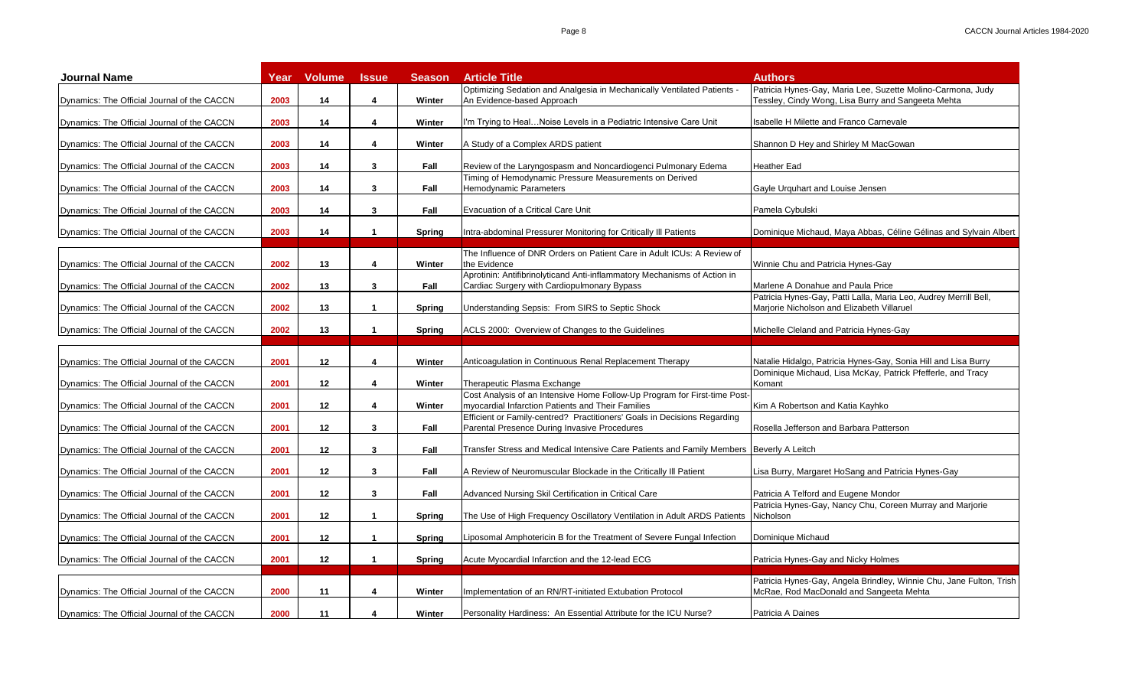| <b>Journal Name</b>                         | Year | <b>Volume</b>   | <b>Issue</b>         | <b>Season</b> | <b>Article Title</b>                                                                                                           | <b>Authors</b>                                                                                                    |
|---------------------------------------------|------|-----------------|----------------------|---------------|--------------------------------------------------------------------------------------------------------------------------------|-------------------------------------------------------------------------------------------------------------------|
| Dynamics: The Official Journal of the CACCN | 2003 | 14              | 4                    | Winter        | Optimizing Sedation and Analgesia in Mechanically Ventilated Patients -<br>An Evidence-based Approach                          | Patricia Hynes-Gay, Maria Lee, Suzette Molino-Carmona, Judy<br>Tessley, Cindy Wong, Lisa Burry and Sangeeta Mehta |
| Dynamics: The Official Journal of the CACCN | 2003 | 14              | 4                    | Winter        | I'm Trying to Heal…Noise Levels in a Pediatric Intensive Care Unit                                                             | Isabelle H Milette and Franco Carnevale                                                                           |
| Dynamics: The Official Journal of the CACCN | 2003 | 14              | 4                    | Winter        | A Study of a Complex ARDS patient                                                                                              | Shannon D Hey and Shirley M MacGowan                                                                              |
| Dynamics: The Official Journal of the CACCN | 2003 | 14              | $\mathbf{3}$         | Fall          | Review of the Laryngospasm and Noncardiogenci Pulmonary Edema                                                                  | <b>Heather Ead</b>                                                                                                |
| Dynamics: The Official Journal of the CACCN | 2003 | 14              | 3                    | Fall          | Timing of Hemodynamic Pressure Measurements on Derived<br>Hemodynamic Parameters                                               | Gayle Urguhart and Louise Jensen                                                                                  |
| Dynamics: The Official Journal of the CACCN | 2003 | 14              | 3                    | Fall          | Evacuation of a Critical Care Unit                                                                                             | Pamela Cybulski                                                                                                   |
| Dynamics: The Official Journal of the CACCN | 2003 | 14              | 1                    | Spring        | Intra-abdominal Pressurer Monitoring for Critically III Patients                                                               | Dominique Michaud, Maya Abbas, Céline Gélinas and Sylvain Albert                                                  |
| Dynamics: The Official Journal of the CACCN | 2002 | 13              | 4                    | Winter        | The Influence of DNR Orders on Patient Care in Adult ICUs: A Review of<br>the Evidence                                         | Winnie Chu and Patricia Hynes-Gay                                                                                 |
| Dynamics: The Official Journal of the CACCN | 2002 | 13              | 3                    | Fall          | Aprotinin: Antifibrinolyticand Anti-inflammatory Mechanisms of Action in<br>Cardiac Surgery with Cardiopulmonary Bypass        | Marlene A Donahue and Paula Price                                                                                 |
| Dynamics: The Official Journal of the CACCN | 2002 | 13              | $\mathbf{1}$         | Spring        | Understanding Sepsis: From SIRS to Septic Shock                                                                                | Patricia Hynes-Gay, Patti Lalla, Maria Leo, Audrey Merrill Bell,<br>Marjorie Nicholson and Elizabeth Villaruel    |
| Dynamics: The Official Journal of the CACCN | 2002 | 13              | $\blacktriangleleft$ | Spring        | ACLS 2000: Overview of Changes to the Guidelines                                                                               | Michelle Cleland and Patricia Hynes-Gay                                                                           |
| Dynamics: The Official Journal of the CACCN | 2001 | 12              | 4                    | Winter        | Anticoagulation in Continuous Renal Replacement Therapy                                                                        | Natalie Hidalgo, Patricia Hynes-Gay, Sonia Hill and Lisa Burry                                                    |
| Dynamics: The Official Journal of the CACCN | 2001 | 12              | 4                    | Winter        | Therapeutic Plasma Exchange                                                                                                    | Dominique Michaud, Lisa McKay, Patrick Pfefferle, and Tracy<br>Komant                                             |
| Dynamics: The Official Journal of the CACCN | 2001 | 12              | 4                    | Winter        | Cost Analysis of an Intensive Home Follow-Up Program for First-time Post-<br>myocardial Infarction Patients and Their Families | Kim A Robertson and Katia Kayhko                                                                                  |
| Dynamics: The Official Journal of the CACCN | 2001 | 12 <sup>2</sup> | $\mathbf{3}$         | Fall          | Efficient or Family-centred? Practitioners' Goals in Decisions Regarding<br>Parental Presence During Invasive Procedures       | Rosella Jefferson and Barbara Patterson                                                                           |
| Dynamics: The Official Journal of the CACCN | 2001 | 12              | $\mathbf{3}$         | Fall          | Transfer Stress and Medical Intensive Care Patients and Family Members  Beverly A Leitch                                       |                                                                                                                   |
| Dynamics: The Official Journal of the CACCN | 2001 | 12              | 3                    | Fall          | A Review of Neuromuscular Blockade in the Critically III Patient                                                               | Lisa Burry, Margaret HoSang and Patricia Hynes-Gay                                                                |
| Dynamics: The Official Journal of the CACCN | 2001 | 12              | 3                    | Fall          | Advanced Nursing Skil Certification in Critical Care                                                                           | Patricia A Telford and Eugene Mondor                                                                              |
| Dynamics: The Official Journal of the CACCN | 2001 | 12              | $\mathbf{1}$         | Spring        | The Use of High Frequency Oscillatory Ventilation in Adult ARDS Patients                                                       | Patricia Hynes-Gay, Nancy Chu, Coreen Murray and Marjorie<br>Nicholson                                            |
| Dynamics: The Official Journal of the CACCN | 2001 | 12              | $\mathbf{1}$         | Spring        | Liposomal Amphotericin B for the Treatment of Severe Fungal Infection                                                          | Dominique Michaud                                                                                                 |
| Dynamics: The Official Journal of the CACCN | 2001 | 12              | $\mathbf{1}$         | Spring        | Acute Myocardial Infarction and the 12-lead ECG                                                                                | Patricia Hynes-Gay and Nicky Holmes                                                                               |
| Dynamics: The Official Journal of the CACCN | 2000 | 11              | 4                    | Winter        | Implementation of an RN/RT-initiated Extubation Protocol                                                                       | Patricia Hynes-Gay, Angela Brindley, Winnie Chu, Jane Fulton, Trish<br>McRae, Rod MacDonald and Sangeeta Mehta    |
| Dynamics: The Official Journal of the CACCN | 2000 | 11              | 4                    | Winter        | Personality Hardiness: An Essential Attribute for the ICU Nurse?                                                               | Patricia A Daines                                                                                                 |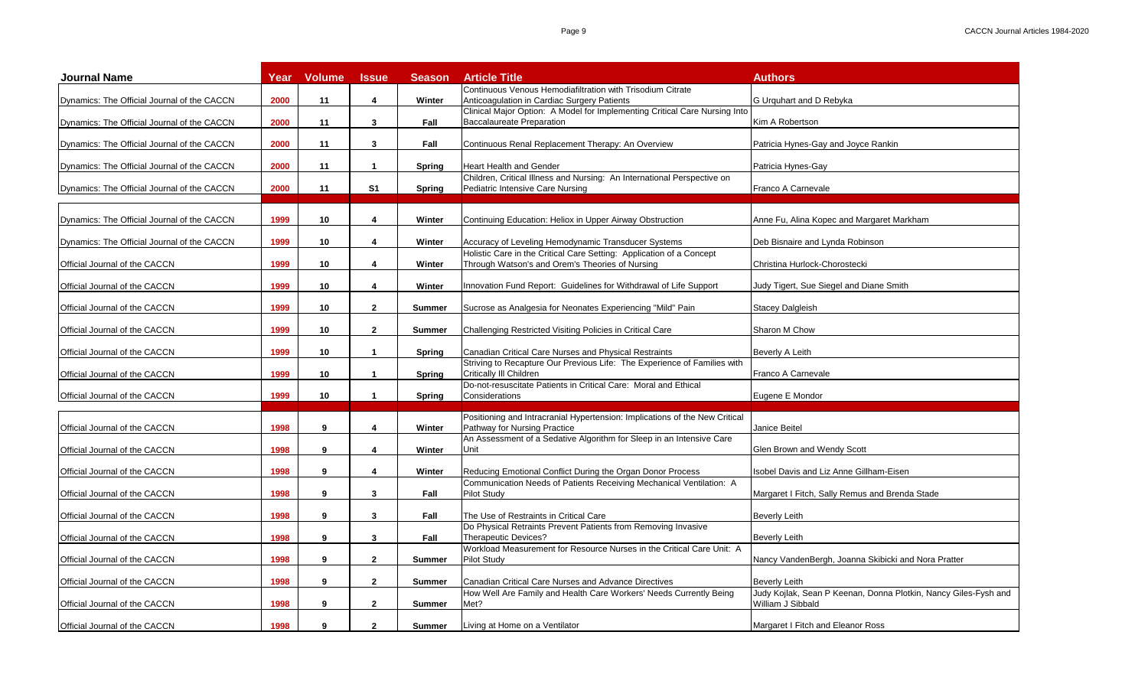| <b>Journal Name</b>                         | Year | <b>Volume</b>   | <b>Issue</b>   | <b>Season</b> | <b>Article Title</b>                                                                                                              | <b>Authors</b>                                                                       |
|---------------------------------------------|------|-----------------|----------------|---------------|-----------------------------------------------------------------------------------------------------------------------------------|--------------------------------------------------------------------------------------|
|                                             | 2000 | 11              | 4              | Winter        | Continuous Venous Hemodiafiltration with Trisodium Citrate<br>Anticoagulation in Cardiac Surgery Patients                         | G Urguhart and D Rebyka                                                              |
| Dynamics: The Official Journal of the CACCN |      |                 |                |               | Clinical Major Option: A Model for Implementing Critical Care Nursing Into                                                        |                                                                                      |
| Dynamics: The Official Journal of the CACCN | 2000 | 11              | 3              | Fall          | <b>Baccalaureate Preparation</b>                                                                                                  | Kim A Robertson                                                                      |
| Dynamics: The Official Journal of the CACCN | 2000 | 11              | 3              | Fall          | Continuous Renal Replacement Therapy: An Overview                                                                                 | Patricia Hynes-Gay and Joyce Rankin                                                  |
| Dynamics: The Official Journal of the CACCN | 2000 | 11              | $\mathbf{1}$   | <b>Spring</b> | <b>Heart Health and Gender</b>                                                                                                    | Patricia Hynes-Gay                                                                   |
| Dynamics: The Official Journal of the CACCN | 2000 | 11              | S <sub>1</sub> | Spring        | Children, Critical Illness and Nursing: An International Perspective on<br>Pediatric Intensive Care Nursing                       | Franco A Carnevale                                                                   |
|                                             |      |                 |                |               |                                                                                                                                   |                                                                                      |
| Dynamics: The Official Journal of the CACCN | 1999 | 10              | 4              | Winter        | Continuing Education: Heliox in Upper Airway Obstruction                                                                          | Anne Fu, Alina Kopec and Margaret Markham                                            |
| Dynamics: The Official Journal of the CACCN | 1999 | 10              | 4              | Winter        | Accuracy of Leveling Hemodynamic Transducer Systems                                                                               | Deb Bisnaire and Lynda Robinson                                                      |
| Official Journal of the CACCN               | 1999 | 10              | 4              | Winter        | Holistic Care in the Critical Care Setting: Application of a Concept<br>Through Watson's and Orem's Theories of Nursing           | Christina Hurlock-Chorostecki                                                        |
| Official Journal of the CACCN               | 1999 | 10              | 4              | Winter        | nnovation Fund Report: Guidelines for Withdrawal of Life Support                                                                  | Judy Tigert, Sue Siegel and Diane Smith                                              |
| Official Journal of the CACCN               | 1999 | 10              | $\mathbf{2}$   | <b>Summer</b> | Sucrose as Analgesia for Neonates Experiencing "Mild" Pain                                                                        | <b>Stacey Dalgleish</b>                                                              |
| Official Journal of the CACCN               | 1999 | 10              | $\mathbf{2}$   | <b>Summer</b> | Challenging Restricted Visiting Policies in Critical Care                                                                         | Sharon M Chow                                                                        |
|                                             |      |                 |                |               |                                                                                                                                   |                                                                                      |
| Official Journal of the CACCN               | 1999 | 10 <sup>1</sup> | $\mathbf{1}$   | <b>Spring</b> | Canadian Critical Care Nurses and Physical Restraints<br>Striving to Recapture Our Previous Life: The Experience of Families with | Beverly A Leith                                                                      |
| Official Journal of the CACCN               | 1999 | 10 <sup>1</sup> | $\mathbf{1}$   | <b>Spring</b> | Critically III Children                                                                                                           | Franco A Carnevale                                                                   |
| Official Journal of the CACCN               | 1999 | 10              | $\mathbf{1}$   | Spring        | Do-not-resuscitate Patients in Critical Care: Moral and Ethical<br>Considerations                                                 | Eugene E Mondor                                                                      |
|                                             |      |                 |                |               |                                                                                                                                   |                                                                                      |
| Official Journal of the CACCN               | 1998 | 9               | 4              | Winter        | Positioning and Intracranial Hypertension: Implications of the New Critical<br>Pathway for Nursing Practice                       | Janice Beitel                                                                        |
| Official Journal of the CACCN               | 1998 | 9               | 4              | Winter        | An Assessment of a Sedative Algorithm for Sleep in an Intensive Care<br>Unit                                                      | Glen Brown and Wendy Scott                                                           |
|                                             |      |                 |                |               |                                                                                                                                   |                                                                                      |
| Official Journal of the CACCN               | 1998 | 9               | 4              | Winter        | Reducing Emotional Conflict During the Organ Donor Process<br>Communication Needs of Patients Receiving Mechanical Ventilation: A | Isobel Davis and Liz Anne Gillham-Eisen                                              |
| Official Journal of the CACCN               | 1998 | 9               | 3              | Fall          | Pilot Study                                                                                                                       | Margaret I Fitch, Sally Remus and Brenda Stade                                       |
| Official Journal of the CACCN               | 1998 | 9               | 3              | Fall          | The Use of Restraints in Critical Care                                                                                            | <b>Beverly Leith</b>                                                                 |
| Official Journal of the CACCN               | 1998 | 9               | 3              | Fall          | Do Physical Retraints Prevent Patients from Removing Invasive<br><b>Therapeutic Devices?</b>                                      | <b>Beverly Leith</b>                                                                 |
| Official Journal of the CACCN               | 1998 | 9               | $\mathbf{2}$   | <b>Summer</b> | Workload Measurement for Resource Nurses in the Critical Care Unit: A<br><b>Pilot Study</b>                                       | Nancy VandenBergh, Joanna Skibicki and Nora Pratter                                  |
| Official Journal of the CACCN               | 1998 | 9               | $\mathbf{2}$   | <b>Summer</b> | Canadian Critical Care Nurses and Advance Directives                                                                              | <b>Beverly Leith</b>                                                                 |
| Official Journal of the CACCN               | 1998 | 9               | $\mathbf{2}$   | <b>Summer</b> | How Well Are Family and Health Care Workers' Needs Currently Being<br>Met?                                                        | Judy Kojlak, Sean P Keenan, Donna Plotkin, Nancy Giles-Fysh and<br>William J Sibbald |
|                                             |      |                 |                |               |                                                                                                                                   |                                                                                      |
| Official Journal of the CACCN               | 1998 | 9               | $\mathbf{2}$   | <b>Summer</b> | Living at Home on a Ventilator                                                                                                    | Margaret I Fitch and Eleanor Ross                                                    |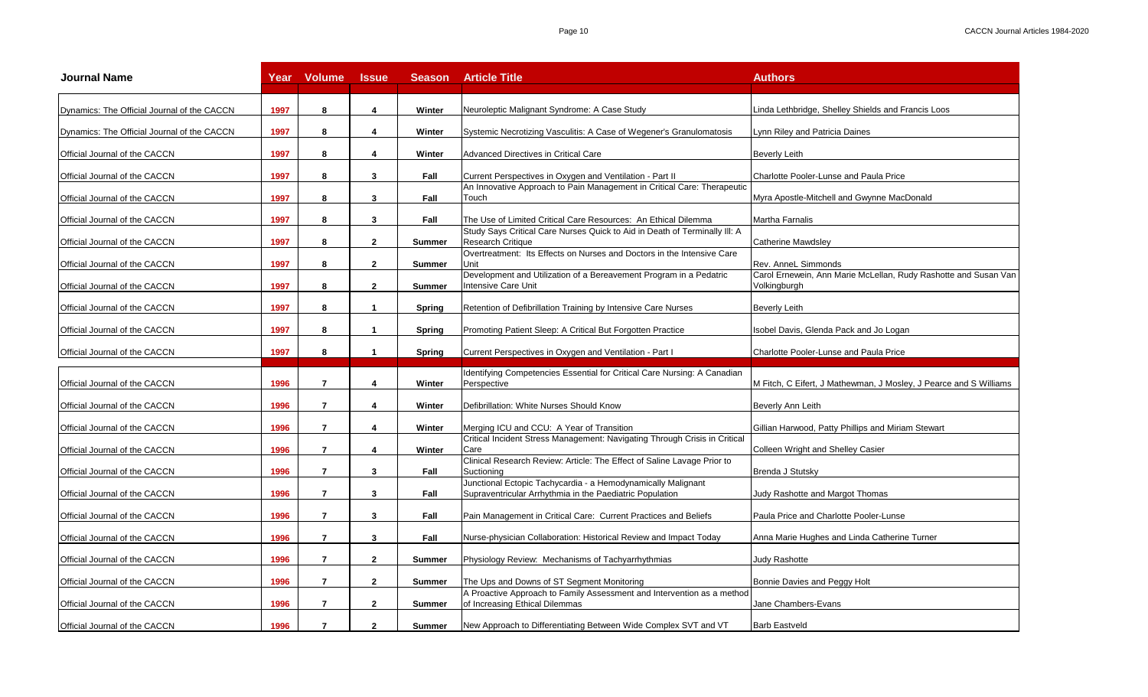| <b>Journal Name</b>                         | Year | <b>Volume</b>  | <b>Issue</b>   | <b>Season</b> | <b>Article Title</b>                                                                                                     | <b>Authors</b>                                                                  |
|---------------------------------------------|------|----------------|----------------|---------------|--------------------------------------------------------------------------------------------------------------------------|---------------------------------------------------------------------------------|
| Dynamics: The Official Journal of the CACCN | 1997 | 8              | 4              | Winter        | Neuroleptic Malignant Syndrome: A Case Study                                                                             | Linda Lethbridge, Shelley Shields and Francis Loos                              |
| Dynamics: The Official Journal of the CACCN | 1997 | 8              | 4              | Winter        | Systemic Necrotizing Vasculitis: A Case of Wegener's Granulomatosis                                                      | Lynn Riley and Patricia Daines                                                  |
| Official Journal of the CACCN               | 1997 | 8              | 4              | Winter        | Advanced Directives in Critical Care                                                                                     | Beverly Leith                                                                   |
| Official Journal of the CACCN               | 1997 | 8              | 3              | Fall          | Current Perspectives in Oxygen and Ventilation - Part II                                                                 | Charlotte Pooler-Lunse and Paula Price                                          |
| Official Journal of the CACCN               | 1997 | 8              | 3              | Fall          | An Innovative Approach to Pain Management in Critical Care: Therapeutic<br>Touch                                         | Myra Apostle-Mitchell and Gwynne MacDonald                                      |
| Official Journal of the CACCN               | 1997 | 8              | 3              | Fall          | The Use of Limited Critical Care Resources: An Ethical Dilemma                                                           | Martha Farnalis                                                                 |
| Official Journal of the CACCN               | 1997 | 8              | $\mathbf{2}$   | <b>Summer</b> | Study Says Critical Care Nurses Quick to Aid in Death of Terminally III: A<br><b>Research Critique</b>                   | <b>Catherine Mawdsley</b>                                                       |
| Official Journal of the CACCN               | 1997 | 8              | $\mathbf{2}$   | <b>Summer</b> | Overtreatment: Its Effects on Nurses and Doctors in the Intensive Care<br>Unit                                           | Rev. AnneL Simmonds                                                             |
| Official Journal of the CACCN               | 1997 | 8              | $\mathbf{2}$   | <b>Summer</b> | Development and Utilization of a Bereavement Program in a Pedatric<br>Intensive Care Unit                                | Carol Ernewein, Ann Marie McLellan, Rudy Rashotte and Susan Van<br>Volkingburgh |
| Official Journal of the CACCN               | 1997 | 8              | $\mathbf{1}$   | Spring        | Retention of Defibrillation Training by Intensive Care Nurses                                                            | <b>Beverly Leith</b>                                                            |
| Official Journal of the CACCN               | 1997 | 8              | 1              | Spring        | Promoting Patient Sleep: A Critical But Forgotten Practice                                                               | Isobel Davis, Glenda Pack and Jo Logan                                          |
| Official Journal of the CACCN               | 1997 | 8              | $\mathbf{1}$   | <b>Spring</b> | Current Perspectives in Oxygen and Ventilation - Part I                                                                  | Charlotte Pooler-Lunse and Paula Price                                          |
|                                             |      |                |                |               |                                                                                                                          |                                                                                 |
| Official Journal of the CACCN               | 1996 | $\overline{7}$ | 4              | Winter        | Identifying Competencies Essential for Critical Care Nursing: A Canadian<br>Perspective                                  | M Fitch, C Eifert, J Mathewman, J Mosley, J Pearce and S Williams               |
| Official Journal of the CACCN               | 1996 | $\overline{7}$ | 4              | Winter        | Defibrillation: White Nurses Should Know                                                                                 | Beverly Ann Leith                                                               |
| Official Journal of the CACCN               | 1996 | 7              | 4              | Winter        | Merging ICU and CCU: A Year of Transition                                                                                | Gillian Harwood, Patty Phillips and Miriam Stewart                              |
| Official Journal of the CACCN               | 1996 | $\overline{7}$ | 4              | Winter        | Critical Incident Stress Management: Navigating Through Crisis in Critical<br>Care                                       | Colleen Wright and Shelley Casier                                               |
| Official Journal of the CACCN               | 1996 | $\overline{7}$ | 3              | Fall          | Clinical Research Review: Article: The Effect of Saline Lavage Prior to<br>Suctioning                                    | Brenda J Stutsky                                                                |
| Official Journal of the CACCN               | 1996 | $\overline{7}$ | 3              | Fall          | Junctional Ectopic Tachycardia - a Hemodynamically Malignant<br>Supraventricular Arrhythmia in the Paediatric Population | Judy Rashotte and Margot Thomas                                                 |
| Official Journal of the CACCN               | 1996 | $\overline{7}$ | 3              | Fall          | Pain Management in Critical Care: Current Practices and Beliefs                                                          | Paula Price and Charlotte Pooler-Lunse                                          |
| Official Journal of the CACCN               | 1996 | $\overline{7}$ | 3              | Fall          | Nurse-physician Collaboration: Historical Review and Impact Today                                                        | Anna Marie Hughes and Linda Catherine Turner                                    |
| Official Journal of the CACCN               | 1996 | $\overline{7}$ | $\mathbf{2}$   | <b>Summer</b> | Physiology Review: Mechanisms of Tachyarrhythmias                                                                        | Judy Rashotte                                                                   |
| Official Journal of the CACCN               | 1996 | $\overline{7}$ | $\mathbf{2}$   | <b>Summer</b> | The Ups and Downs of ST Segment Monitoring                                                                               | Bonnie Davies and Peggy Holt                                                    |
| Official Journal of the CACCN               | 1996 | $\overline{7}$ | $\mathbf{2}$   | <b>Summer</b> | A Proactive Approach to Family Assessment and Intervention as a method<br>of Increasing Ethical Dilemmas                 | Jane Chambers-Evans                                                             |
| Official Journal of the CACCN               | 1996 | $\overline{7}$ | $\overline{2}$ | Summer        | New Approach to Differentiating Between Wide Complex SVT and VT                                                          | <b>Barb Eastveld</b>                                                            |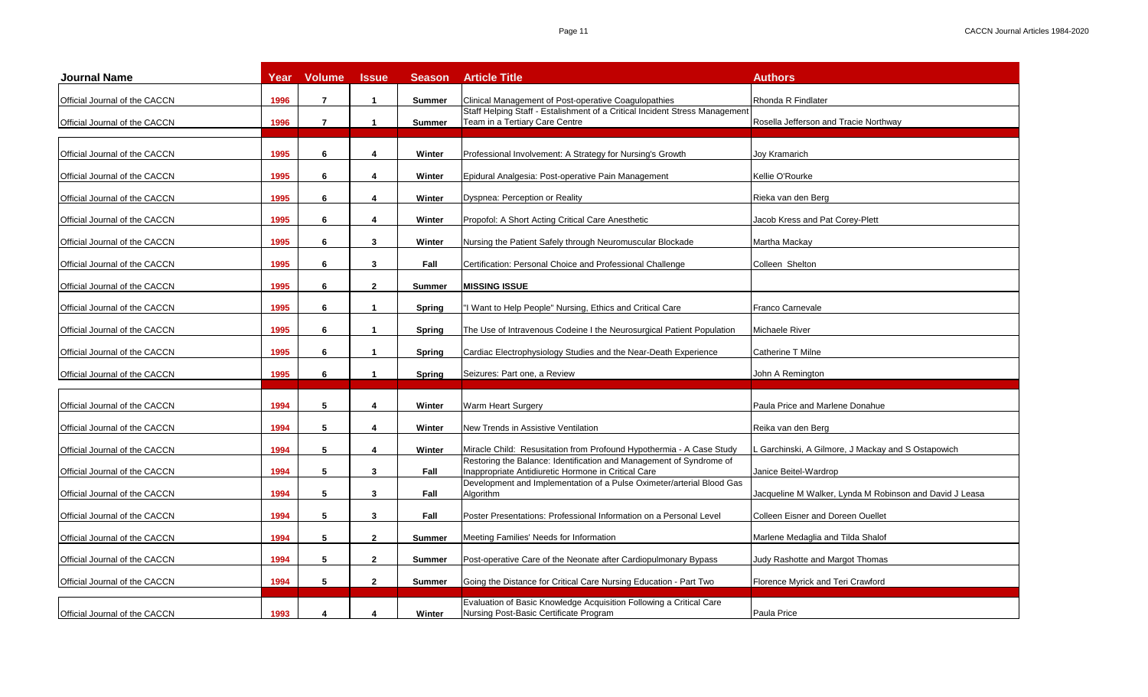| <b>Journal Name</b>           | Year | <b>Volume</b>  | <b>Issue</b>            | <b>Season</b> | <b>Article Title</b>                                                                                                       | <b>Authors</b>                                          |
|-------------------------------|------|----------------|-------------------------|---------------|----------------------------------------------------------------------------------------------------------------------------|---------------------------------------------------------|
| Official Journal of the CACCN | 1996 | $\overline{7}$ | $\mathbf{1}$            | <b>Summer</b> | Clinical Management of Post-operative Coagulopathies                                                                       | <b>Rhonda R Findlater</b>                               |
| Official Journal of the CACCN | 1996 | $\overline{7}$ | $\mathbf{1}$            | Summer        | Staff Helping Staff - Estalishment of a Critical Incident Stress Management<br>Team in a Tertiary Care Centre              | Rosella Jefferson and Tracie Northway                   |
| Official Journal of the CACCN | 1995 | 6              | $\boldsymbol{4}$        | Winter        | Professional Involvement: A Strategy for Nursing's Growth                                                                  | Joy Kramarich                                           |
| Official Journal of the CACCN | 1995 | 6              | 4                       | Winter        | Epidural Analgesia: Post-operative Pain Management                                                                         | Kellie O'Rourke                                         |
| Official Journal of the CACCN | 1995 | 6              | 4                       | Winter        | Dyspnea: Perception or Reality                                                                                             | Rieka van den Berg                                      |
| Official Journal of the CACCN | 1995 | 6              | 4                       | Winter        | Propofol: A Short Acting Critical Care Anesthetic                                                                          | Jacob Kress and Pat Corey-Plett                         |
| Official Journal of the CACCN | 1995 | 6              | 3                       | Winter        | Nursing the Patient Safely through Neuromuscular Blockade                                                                  | Martha Mackay                                           |
| Official Journal of the CACCN | 1995 | 6              | 3                       | Fall          | Certification: Personal Choice and Professional Challenge                                                                  | Colleen Shelton                                         |
| Official Journal of the CACCN | 1995 | 6              | $\mathbf{2}$            | <b>Summer</b> | <b>MISSING ISSUE</b>                                                                                                       |                                                         |
| Official Journal of the CACCN | 1995 | 6              | $\mathbf{1}$            | Spring        | "I Want to Help People" Nursing, Ethics and Critical Care                                                                  | Franco Carnevale                                        |
| Official Journal of the CACCN | 1995 | 6              | $\mathbf{1}$            | Spring        | The Use of Intravenous Codeine I the Neurosurgical Patient Population                                                      | Michaele River                                          |
| Official Journal of the CACCN | 1995 | 6              | $\mathbf{1}$            | Spring        | Cardiac Electrophysiology Studies and the Near-Death Experience                                                            | Catherine T Milne                                       |
| Official Journal of the CACCN | 1995 | 6              | $\mathbf{1}$            | Spring        | Seizures: Part one, a Review                                                                                               | John A Remington                                        |
| Official Journal of the CACCN | 1994 | 5              | 4                       | Winter        | Warm Heart Surgery                                                                                                         | Paula Price and Marlene Donahue                         |
| Official Journal of the CACCN | 1994 | 5              | $\boldsymbol{4}$        | Winter        | New Trends in Assistive Ventilation                                                                                        | Reika van den Berg                                      |
| Official Journal of the CACCN | 1994 | 5              | $\boldsymbol{\Lambda}$  | Winter        | Miracle Child: Resusitation from Profound Hypothermia - A Case Study                                                       | Garchinski, A Gilmore, J Mackay and S Ostapowich        |
| Official Journal of the CACCN | 1994 | 5              | $\overline{\mathbf{3}}$ | Fall          | Restoring the Balance: Identification and Management of Syndrome of<br>Inappropriate Antidiuretic Hormone in Critical Care | Janice Beitel-Wardrop                                   |
| Official Journal of the CACCN | 1994 | 5              | 3                       | Fall          | Development and Implementation of a Pulse Oximeter/arterial Blood Gas<br>Algorithm                                         | Jacqueline M Walker, Lynda M Robinson and David J Leasa |
| Official Journal of the CACCN | 1994 | 5              | 3                       | Fall          | Poster Presentations: Professional Information on a Personal Level                                                         | Colleen Eisner and Doreen Ouellet                       |
| Official Journal of the CACCN | 1994 | 5              | $\mathbf{2}$            | <b>Summer</b> | Meeting Families' Needs for Information                                                                                    | Marlene Medaglia and Tilda Shalof                       |
| Official Journal of the CACCN | 1994 | 5              | $\mathbf{2}$            | <b>Summer</b> | Post-operative Care of the Neonate after Cardiopulmonary Bypass                                                            | Judy Rashotte and Margot Thomas                         |
| Official Journal of the CACCN | 1994 | 5              | $\overline{2}$          | <b>Summer</b> | Going the Distance for Critical Care Nursing Education - Part Two                                                          | Florence Myrick and Teri Crawford                       |
| Official Journal of the CACCN | 1993 | 4              | 4                       | Winter        | Evaluation of Basic Knowledge Acquisition Following a Critical Care<br>Nursing Post-Basic Certificate Program              | Paula Price                                             |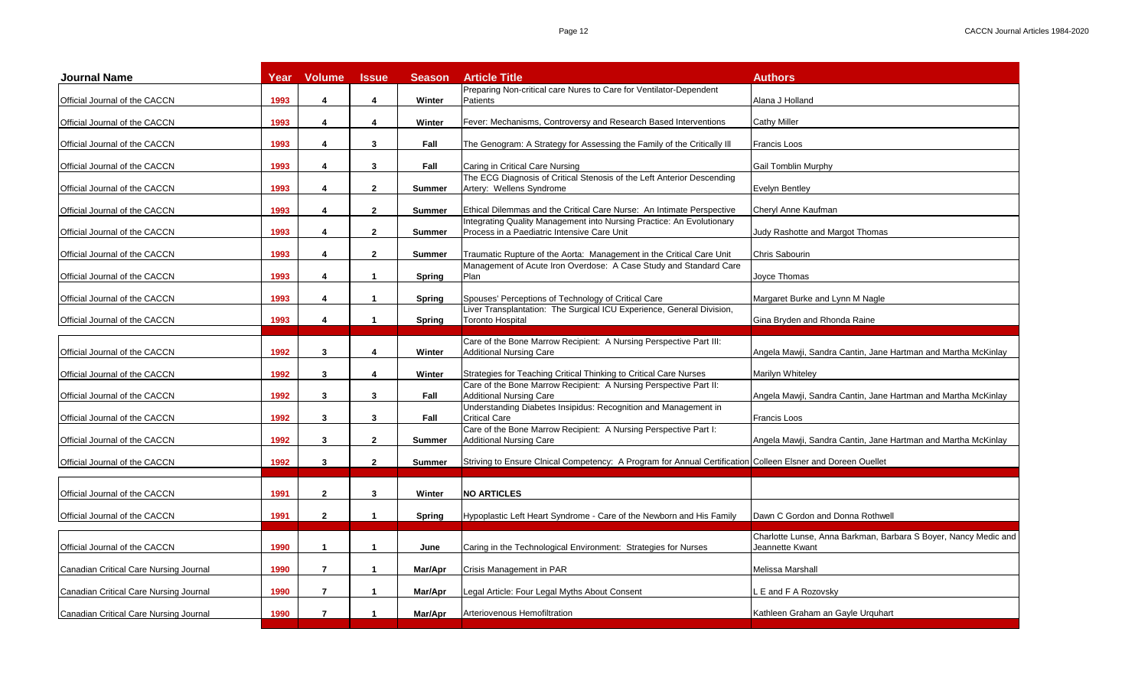| <b>Journal Name</b>                    | Year | <b>Volume</b>           | <b>Issue</b>         | <b>Season</b> | <b>Article Title</b>                                                                                                         | <b>Authors</b>                                                  |
|----------------------------------------|------|-------------------------|----------------------|---------------|------------------------------------------------------------------------------------------------------------------------------|-----------------------------------------------------------------|
| Official Journal of the CACCN          | 1993 | 4                       | 4                    | Winter        | Preparing Non-critical care Nures to Care for Ventilator-Dependent<br>Patients                                               | Alana J Holland                                                 |
|                                        | 1993 | 4                       | 4                    |               |                                                                                                                              |                                                                 |
| Official Journal of the CACCN          |      |                         |                      | Winter        | Fever: Mechanisms, Controversy and Research Based Interventions                                                              | <b>Cathy Miller</b>                                             |
| Official Journal of the CACCN          | 1993 | 4                       | 3                    | Fall          | The Genogram: A Strategy for Assessing the Family of the Critically III                                                      | <b>Francis Loos</b>                                             |
| Official Journal of the CACCN          | 1993 | 4                       | 3                    | Fall          | Caring in Critical Care Nursing                                                                                              | <b>Gail Tomblin Murphy</b>                                      |
| Official Journal of the CACCN          | 1993 | 4                       | $\mathbf{2}$         | <b>Summer</b> | The ECG Diagnosis of Critical Stenosis of the Left Anterior Descending<br>Artery: Wellens Syndrome                           | <b>Evelyn Bentley</b>                                           |
| Official Journal of the CACCN          | 1993 | 4                       | $\mathbf{2}$         | <b>Summer</b> | Ethical Dilemmas and the Critical Care Nurse: An Intimate Perspective                                                        | Chervl Anne Kaufman                                             |
|                                        |      |                         |                      |               | Integrating Quality Management into Nursing Practice: An Evolutionary                                                        |                                                                 |
| Official Journal of the CACCN          | 1993 | 4                       | $\mathbf{2}$         | <b>Summer</b> | Process in a Paediatric Intensive Care Unit                                                                                  | Judy Rashotte and Margot Thomas                                 |
| Official Journal of the CACCN          | 1993 | 4                       | $\overline{2}$       | <b>Summer</b> | Traumatic Rupture of the Aorta: Management in the Critical Care Unit                                                         | Chris Sabourin                                                  |
| Official Journal of the CACCN          | 1993 | 4                       | $\mathbf{1}$         | Spring        | Management of Acute Iron Overdose: A Case Study and Standard Care<br>Plan                                                    | Joyce Thomas                                                    |
|                                        |      |                         |                      |               |                                                                                                                              |                                                                 |
| Official Journal of the CACCN          | 1993 | 4                       | $\mathbf{1}$         | <b>Spring</b> | Spouses' Perceptions of Technology of Critical Care<br>Liver Transplantation: The Surgical ICU Experience, General Division, | Margaret Burke and Lynn M Nagle                                 |
| Official Journal of the CACCN          | 1993 | 4                       | $\mathbf{1}$         | Spring        | <b>Toronto Hospital</b>                                                                                                      | Gina Bryden and Rhonda Raine                                    |
|                                        |      |                         |                      |               | Care of the Bone Marrow Recipient: A Nursing Perspective Part III:                                                           |                                                                 |
| Official Journal of the CACCN          | 1992 | 3                       | 4                    | Winter        | <b>Additional Nursing Care</b>                                                                                               | Angela Mawji, Sandra Cantin, Jane Hartman and Martha McKinlay   |
| Official Journal of the CACCN          | 1992 | 3                       | 4                    | Winter        | Strategies for Teaching Critical Thinking to Critical Care Nurses                                                            | Marilyn Whiteley                                                |
|                                        |      |                         |                      |               | Care of the Bone Marrow Recipient: A Nursing Perspective Part II:                                                            |                                                                 |
| Official Journal of the CACCN          | 1992 | 3                       | 3                    | Fall          | <b>Additional Nursing Care</b><br>Understanding Diabetes Insipidus: Recognition and Management in                            | Angela Mawji, Sandra Cantin, Jane Hartman and Martha McKinlay   |
| Official Journal of the CACCN          | 1992 | 3                       | 3                    | Fall          | <b>Critical Care</b>                                                                                                         | <b>Francis Loos</b>                                             |
| Official Journal of the CACCN          | 1992 | 3                       | $\mathbf{2}$         | <b>Summer</b> | Care of the Bone Marrow Recipient: A Nursing Perspective Part I:<br><b>Additional Nursing Care</b>                           | Angela Mawji, Sandra Cantin, Jane Hartman and Martha McKinlay   |
|                                        |      |                         |                      |               |                                                                                                                              |                                                                 |
| Official Journal of the CACCN          | 1992 | $3^{\circ}$             | $2^{\circ}$          | <b>Summer</b> | Striving to Ensure Clnical Competency: A Program for Annual Certification Colleen Elsner and Doreen Ouellet                  |                                                                 |
|                                        |      |                         |                      |               |                                                                                                                              |                                                                 |
| Official Journal of the CACCN          | 1991 | $\mathbf{2}$            | 3                    | Winter        | <b>NO ARTICLES</b>                                                                                                           |                                                                 |
| Official Journal of the CACCN          | 1991 | $\mathbf{2}$            | $\blacktriangleleft$ | Spring        | Hypoplastic Left Heart Syndrome - Care of the Newborn and His Family                                                         | Dawn C Gordon and Donna Rothwell                                |
|                                        |      |                         |                      |               |                                                                                                                              | Charlotte Lunse, Anna Barkman, Barbara S Boyer, Nancy Medic and |
| Official Journal of the CACCN          | 1990 | $\overline{\mathbf{1}}$ | $\mathbf{1}$         | June          | Caring in the Technological Environment: Strategies for Nurses                                                               | Jeannette Kwant                                                 |
| Canadian Critical Care Nursing Journal | 1990 | $\overline{7}$          | $\mathbf{1}$         | Mar/Apr       | Crisis Management in PAR                                                                                                     | Melissa Marshall                                                |
| Canadian Critical Care Nursing Journal | 1990 | $\overline{7}$          | $\mathbf{1}$         | Mar/Apr       | Legal Article: Four Legal Myths About Consent                                                                                | L E and F A Rozovsky                                            |
| Canadian Critical Care Nursing Journal | 1990 | $\overline{7}$          | $\mathbf{1}$         | Mar/Apr       | Arteriovenous Hemofiltration                                                                                                 | Kathleen Graham an Gayle Urquhart                               |
|                                        |      |                         |                      |               |                                                                                                                              |                                                                 |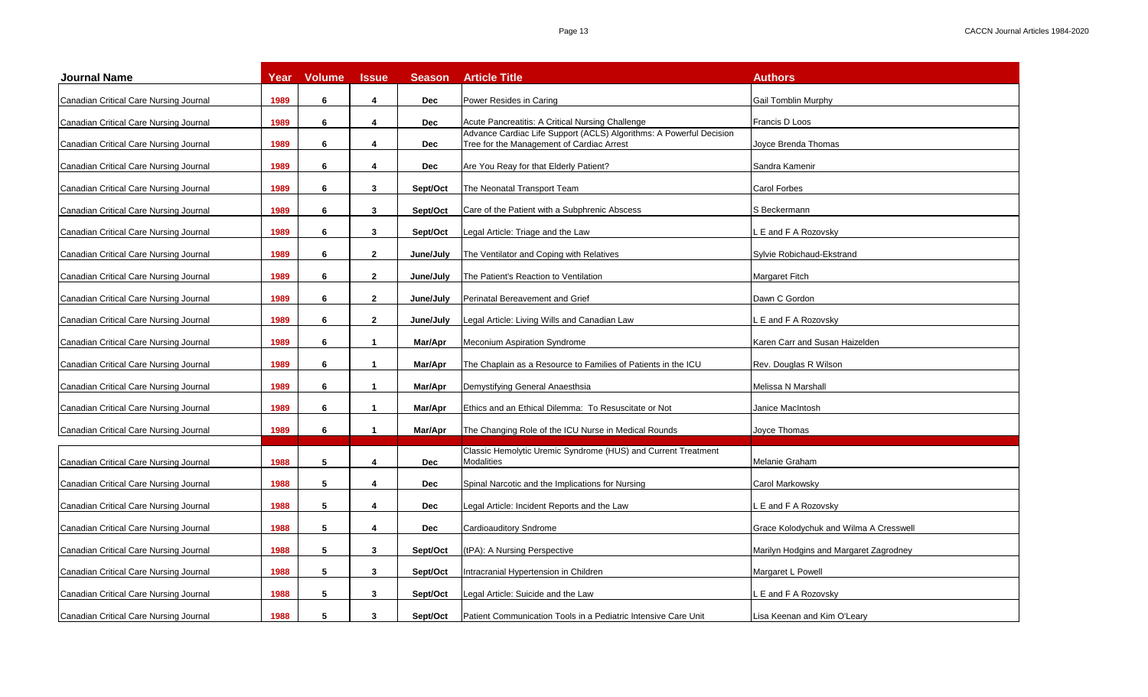| <b>Journal Name</b>                    | Year | <b>Volume</b> | <b>Issue</b> | <b>Season</b> | <b>Article Title</b>                                                                                             | <b>Authors</b>                         |
|----------------------------------------|------|---------------|--------------|---------------|------------------------------------------------------------------------------------------------------------------|----------------------------------------|
| Canadian Critical Care Nursing Journal | 1989 | 6             | 4            | <b>Dec</b>    | Power Resides in Caring                                                                                          | Gail Tomblin Murphy                    |
| Canadian Critical Care Nursing Journal | 1989 | 6             | 4            | <b>Dec</b>    | Acute Pancreatitis: A Critical Nursing Challenge                                                                 | Francis D Loos                         |
| Canadian Critical Care Nursing Journal | 1989 | 6             | 4            | <b>Dec</b>    | Advance Cardiac Life Support (ACLS) Algorithms: A Powerful Decision<br>Tree for the Management of Cardiac Arrest | Joyce Brenda Thomas                    |
| Canadian Critical Care Nursing Journal | 1989 | 6             | 4            | <b>Dec</b>    | Are You Reay for that Elderly Patient?                                                                           | Sandra Kamenir                         |
| Canadian Critical Care Nursing Journal | 1989 | 6             | 3            | Sept/Oct      | The Neonatal Transport Team                                                                                      | Carol Forbes                           |
| Canadian Critical Care Nursing Journal | 1989 | 6             | 3            | Sept/Oct      | Care of the Patient with a Subphrenic Abscess                                                                    | S Beckermann                           |
| Canadian Critical Care Nursing Journal | 1989 | 6             | 3            | Sept/Oct      | Legal Article: Triage and the Law                                                                                | L E and F A Rozovsky                   |
| Canadian Critical Care Nursing Journal | 1989 | 6             | $\mathbf{2}$ | June/July     | The Ventilator and Coping with Relatives                                                                         | Sylvie Robichaud-Ekstrand              |
| Canadian Critical Care Nursing Journal | 1989 | 6             | $\mathbf{2}$ | June/July     | The Patient's Reaction to Ventilation                                                                            | Margaret Fitch                         |
| Canadian Critical Care Nursing Journal | 1989 | 6             | $\mathbf{2}$ | June/July     | Perinatal Bereavement and Grief                                                                                  | Dawn C Gordon                          |
| Canadian Critical Care Nursing Journal | 1989 | 6             | $\mathbf{2}$ | June/July     | Legal Article: Living Wills and Canadian Law                                                                     | E and F A Rozovsky                     |
| Canadian Critical Care Nursing Journal | 1989 | 6             | 1            | Mar/Apr       | <b>Meconium Aspiration Syndrome</b>                                                                              | Karen Carr and Susan Haizelden         |
| Canadian Critical Care Nursing Journal | 1989 | 6             | 1            | Mar/Apr       | The Chaplain as a Resource to Families of Patients in the ICU                                                    | Rev. Douglas R Wilson                  |
| Canadian Critical Care Nursing Journal | 1989 | 6             | 1            | Mar/Apr       | Demystifying General Anaesthsia                                                                                  | Melissa N Marshall                     |
| Canadian Critical Care Nursing Journal | 1989 | 6             | 1            | Mar/Apr       | Ethics and an Ethical Dilemma: To Resuscitate or Not                                                             | Janice MacIntosh                       |
| Canadian Critical Care Nursing Journal | 1989 | 6             | 1            | Mar/Apr       | The Changing Role of the ICU Nurse in Medical Rounds                                                             | Joyce Thomas                           |
|                                        |      |               |              |               | Classic Hemolytic Uremic Syndrome (HUS) and Current Treatment                                                    |                                        |
| Canadian Critical Care Nursing Journal | 1988 | 5             | 4            | <b>Dec</b>    | Modalities                                                                                                       | Melanie Graham                         |
| Canadian Critical Care Nursing Journal | 1988 | 5             | 4            | <b>Dec</b>    | Spinal Narcotic and the Implications for Nursing                                                                 | Carol Markowsky                        |
| Canadian Critical Care Nursing Journal | 1988 | 5             | 4            | <b>Dec</b>    | Legal Article: Incident Reports and the Law                                                                      | E and F A Rozovsky                     |
| Canadian Critical Care Nursing Journal | 1988 | 5             | 4            | <b>Dec</b>    | Cardioauditory Sndrome                                                                                           | Grace Kolodychuk and Wilma A Cresswell |
| Canadian Critical Care Nursing Journal | 1988 | 5             | 3            | Sept/Oct      | (tPA): A Nursing Perspective                                                                                     | Marilyn Hodgins and Margaret Zagrodney |
| Canadian Critical Care Nursing Journal | 1988 | 5             | 3            | Sept/Oct      | Intracranial Hypertension in Children                                                                            | Margaret L Powell                      |
| Canadian Critical Care Nursing Journal | 1988 | 5             | 3            | Sept/Oct      | egal Article: Suicide and the Law                                                                                | E and F A Rozovsky                     |
| Canadian Critical Care Nursing Journal | 1988 | 5             | 3            | Sept/Oct      | Patient Communication Tools in a Pediatric Intensive Care Unit                                                   | Lisa Keenan and Kim O'Leary            |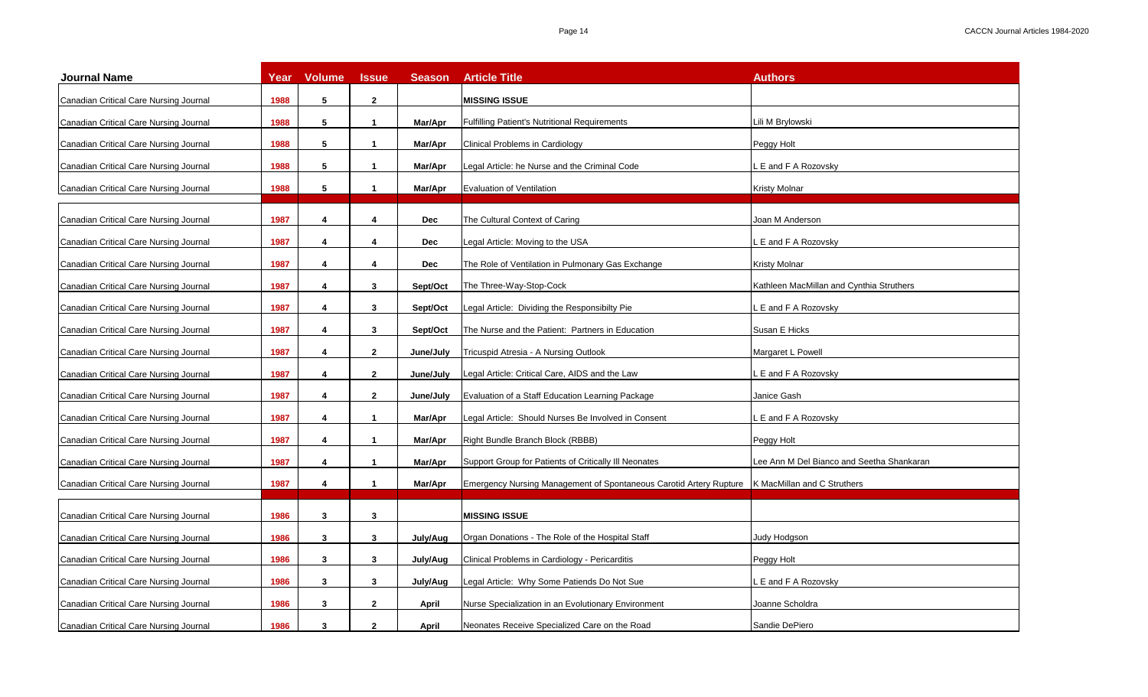| <b>Journal Name</b>                    | Year | <b>Volume</b> | <b>Issue</b>         | <b>Season</b> | <b>Article Title</b>                                               | <b>Authors</b>                            |
|----------------------------------------|------|---------------|----------------------|---------------|--------------------------------------------------------------------|-------------------------------------------|
| Canadian Critical Care Nursing Journal | 1988 | 5             | $\overline{2}$       |               | <b>MISSING ISSUE</b>                                               |                                           |
| Canadian Critical Care Nursing Journal | 1988 | 5             | $\mathbf{1}$         | Mar/Apr       | <b>Fulfilling Patient's Nutritional Requirements</b>               | Lili M Brylowski                          |
| Canadian Critical Care Nursing Journal | 1988 | 5             | $\mathbf{1}$         | Mar/Apr       | Clinical Problems in Cardiology                                    | Peggy Holt                                |
| Canadian Critical Care Nursing Journal | 1988 | 5             | $\mathbf{1}$         | Mar/Apr       | Legal Article: he Nurse and the Criminal Code                      | E and F A Rozovsky                        |
| Canadian Critical Care Nursing Journal | 1988 | 5             | $\mathbf 1$          | Mar/Apr       | Evaluation of Ventilation                                          | Kristy Molnar                             |
| Canadian Critical Care Nursing Journal | 1987 | 4             | 4                    | <b>Dec</b>    | The Cultural Context of Caring                                     | Joan M Anderson                           |
| Canadian Critical Care Nursing Journal | 1987 | 4             | 4                    | <b>Dec</b>    | Legal Article: Moving to the USA                                   | E and F A Rozovsky                        |
| Canadian Critical Care Nursing Journal | 1987 | 4             | 4                    | Dec           | The Role of Ventilation in Pulmonary Gas Exchange                  | Kristy Molnar                             |
| Canadian Critical Care Nursing Journal | 1987 | 4             | 3                    | Sept/Oct      | The Three-Way-Stop-Cock                                            | Kathleen MacMillan and Cynthia Struthers  |
| Canadian Critical Care Nursing Journal | 1987 | 4             | 3                    | Sept/Oct      | Legal Article: Dividing the Responsibilty Pie                      | E and F A Rozovsky                        |
| Canadian Critical Care Nursing Journal | 1987 | 4             | 3                    | Sept/Oct      | The Nurse and the Patient: Partners in Education                   | Susan E Hicks                             |
| Canadian Critical Care Nursing Journal | 1987 | 4             | $\mathbf{2}$         | June/July     | Tricuspid Atresia - A Nursing Outlook                              | Margaret L Powell                         |
| Canadian Critical Care Nursing Journal | 1987 | 4             | $\mathbf{2}$         | June/July     | Legal Article: Critical Care, AIDS and the Law                     | . E and F A Rozovsky                      |
| Canadian Critical Care Nursing Journal | 1987 | 4             | $\mathbf{2}$         | June/July     | Evaluation of a Staff Education Learning Package                   | Janice Gash                               |
| Canadian Critical Care Nursing Journal | 1987 | 4             | $\mathbf{1}$         | Mar/Apr       | Legal Article: Should Nurses Be Involved in Consent                | E and F A Rozovsky                        |
| Canadian Critical Care Nursing Journal | 1987 | 4             | $\mathbf 1$          | Mar/Apr       | Right Bundle Branch Block (RBBB)                                   | Peggy Holt                                |
| Canadian Critical Care Nursing Journal | 1987 | 4             | $\mathbf{1}$         | Mar/Apr       | Support Group for Patients of Critically III Neonates              | Lee Ann M Del Bianco and Seetha Shankaran |
| Canadian Critical Care Nursing Journal | 1987 | 4             | $\blacktriangleleft$ | Mar/Apr       | Emergency Nursing Management of Spontaneous Carotid Artery Rupture | K MacMillan and C Struthers               |
| Canadian Critical Care Nursing Journal | 1986 | 3             | 3                    |               | <b>MISSING ISSUE</b>                                               |                                           |
| Canadian Critical Care Nursing Journal | 1986 | 3             | 3                    | July/Aug      | Organ Donations - The Role of the Hospital Staff                   | Judy Hodgson                              |
| Canadian Critical Care Nursing Journal | 1986 | 3             | 3                    | July/Aug      | Clinical Problems in Cardiology - Pericarditis                     | Peggy Holt                                |
| Canadian Critical Care Nursing Journal | 1986 | 3             | 3                    | July/Aug      | Legal Article: Why Some Patiends Do Not Sue                        | E and F A Rozovsky                        |
| Canadian Critical Care Nursing Journal | 1986 | 3             | $\mathbf{2}$         | April         | Nurse Specialization in an Evolutionary Environment                | Joanne Scholdra                           |
| Canadian Critical Care Nursing Journal | 1986 | 3             | $\overline{2}$       | April         | Neonates Receive Specialized Care on the Road                      | Sandie DePiero                            |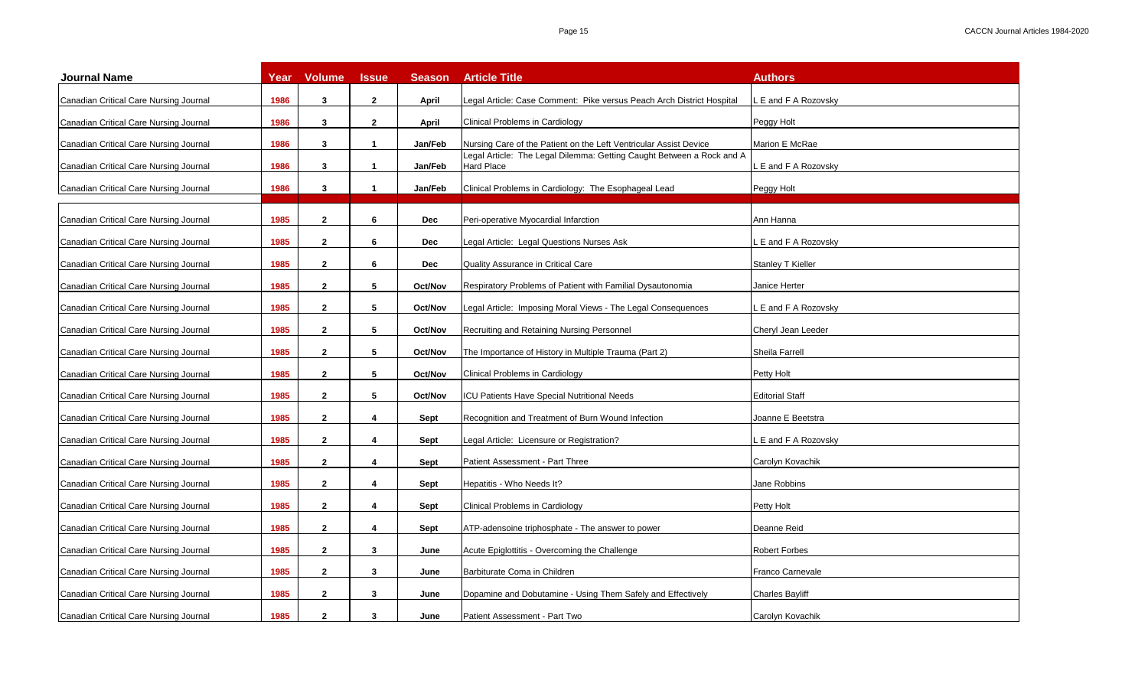| <b>Journal Name</b>                    | Year | <b>Volume</b> | <b>Issue</b> | <b>Season</b> | <b>Article Title</b>                                                                       | <b>Authors</b>         |
|----------------------------------------|------|---------------|--------------|---------------|--------------------------------------------------------------------------------------------|------------------------|
| Canadian Critical Care Nursing Journal | 1986 | 3             | $\mathbf{2}$ | April         | Legal Article: Case Comment: Pike versus Peach Arch District Hospital                      | E and F A Rozovsky     |
| Canadian Critical Care Nursing Journal | 1986 | 3             | $\mathbf{2}$ | April         | Clinical Problems in Cardiology                                                            | Peggy Holt             |
| Canadian Critical Care Nursing Journal | 1986 | 3             | $\mathbf{1}$ | Jan/Feb       | Nursing Care of the Patient on the Left Ventricular Assist Device                          | Marion E McRae         |
| Canadian Critical Care Nursing Journal | 1986 | 3             | $\mathbf{1}$ | Jan/Feb       | Legal Article: The Legal Dilemma: Getting Caught Between a Rock and A<br><b>Hard Place</b> | E and F A Rozovsky     |
| Canadian Critical Care Nursing Journal | 1986 | 3             | $\mathbf{1}$ | Jan/Feb       | Clinical Problems in Cardiology: The Esophageal Lead                                       | Peggy Holt             |
| Canadian Critical Care Nursing Journal | 1985 | $\mathbf{2}$  | 6            | Dec           | Peri-operative Myocardial Infarction                                                       | Ann Hanna              |
| Canadian Critical Care Nursing Journal | 1985 | $\mathbf{2}$  | 6            | Dec           | Legal Article: Legal Questions Nurses Ask                                                  | E and F A Rozovsky     |
| Canadian Critical Care Nursing Journal | 1985 | $\mathbf{2}$  | 6            | Dec           | <b>Quality Assurance in Critical Care</b>                                                  | Stanley T Kieller      |
| Canadian Critical Care Nursing Journal | 1985 | $\mathbf{2}$  | 5            | Oct/Nov       | Respiratory Problems of Patient with Familial Dysautonomia                                 | Janice Herter          |
| Canadian Critical Care Nursing Journal | 1985 | $\mathbf{2}$  | 5            | Oct/Nov       | Legal Article: Imposing Moral Views - The Legal Consequences                               | E and F A Rozovsky     |
| Canadian Critical Care Nursing Journal | 1985 | $\mathbf{2}$  | 5            | Oct/Nov       | Recruiting and Retaining Nursing Personnel                                                 | Cheryl Jean Leeder     |
| Canadian Critical Care Nursing Journal | 1985 | $\mathbf{2}$  | 5            | Oct/Nov       | The Importance of History in Multiple Trauma (Part 2)                                      | Sheila Farrell         |
| Canadian Critical Care Nursing Journal | 1985 | $\mathbf{2}$  | 5            | Oct/Nov       | Clinical Problems in Cardiology                                                            | Petty Holt             |
| Canadian Critical Care Nursing Journal | 1985 | $\mathbf{2}$  | 5            | Oct/Nov       | <b>CU Patients Have Special Nutritional Needs</b>                                          | <b>Editorial Staff</b> |
| Canadian Critical Care Nursing Journal | 1985 | $\mathbf{2}$  | 4            | Sept          | Recognition and Treatment of Burn Wound Infection                                          | Joanne E Beetstra      |
| Canadian Critical Care Nursing Journal | 1985 | $\mathbf{2}$  | 4            | Sept          | Legal Article: Licensure or Registration?                                                  | E and F A Rozovsky     |
| Canadian Critical Care Nursing Journal | 1985 | $\mathbf{2}$  | 4            | Sept          | Patient Assessment - Part Three                                                            | Carolyn Kovachik       |
| Canadian Critical Care Nursing Journal | 1985 | $\mathbf{2}$  | 4            | Sept          | Hepatitis - Who Needs It?                                                                  | Jane Robbins           |
| Canadian Critical Care Nursing Journal | 1985 | $\mathbf{2}$  | 4            | Sept          | Clinical Problems in Cardiology                                                            | Petty Holt             |
| Canadian Critical Care Nursing Journal | 1985 | $\mathbf{2}$  | 4            | Sept          | ATP-adensoine triphosphate - The answer to power                                           | Deanne Reid            |
| Canadian Critical Care Nursing Journal | 1985 | $\mathbf{2}$  | 3            | June          | Acute Epiglottitis - Overcoming the Challenge                                              | <b>Robert Forbes</b>   |
| Canadian Critical Care Nursing Journal | 1985 | $\mathbf{2}$  | 3            | June          | Barbiturate Coma in Children                                                               | Franco Carnevale       |
| Canadian Critical Care Nursing Journal | 1985 | $\mathbf{2}$  | 3            | June          | Dopamine and Dobutamine - Using Them Safely and Effectively                                | <b>Charles Bayliff</b> |
| Canadian Critical Care Nursing Journal | 1985 | $\mathbf{2}$  | 3            | June          | Patient Assessment - Part Two                                                              | Carolyn Kovachik       |